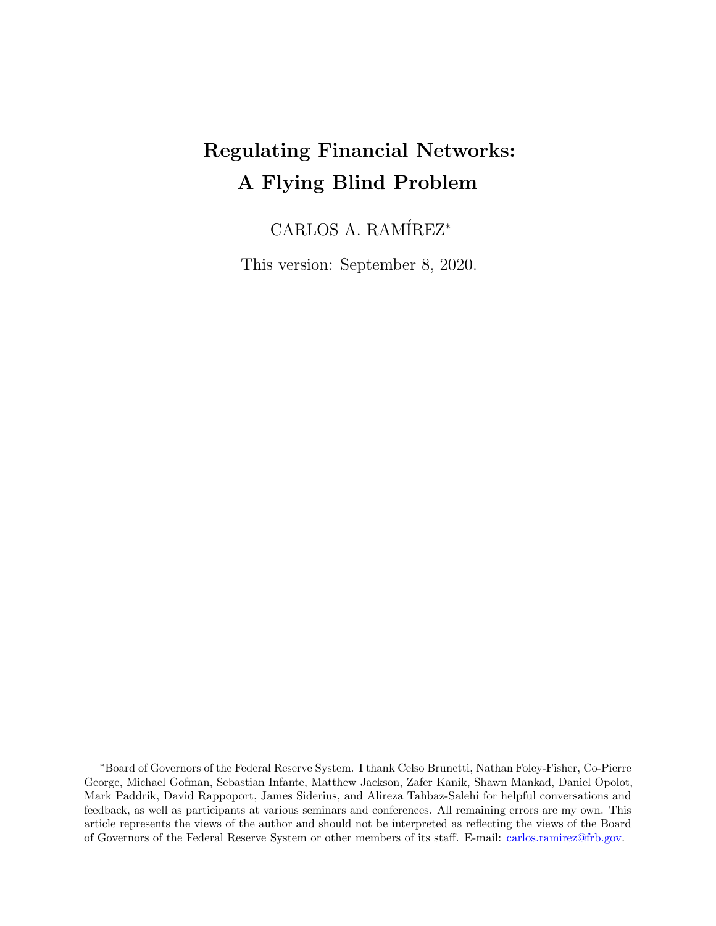# Regulating Financial Networks: A Flying Blind Problem

CARLOS A. RAMÍREZ<sup>\*</sup>

This version: September 8, 2020.

<sup>∗</sup>Board of Governors of the Federal Reserve System. I thank Celso Brunetti, Nathan Foley-Fisher, Co-Pierre George, Michael Gofman, Sebastian Infante, Matthew Jackson, Zafer Kanik, Shawn Mankad, Daniel Opolot, Mark Paddrik, David Rappoport, James Siderius, and Alireza Tahbaz-Salehi for helpful conversations and feedback, as well as participants at various seminars and conferences. All remaining errors are my own. This article represents the views of the author and should not be interpreted as reflecting the views of the Board of Governors of the Federal Reserve System or other members of its staff. E-mail: [carlos.ramirez@frb.gov.](mailto:carlos.ramirez@frb.gov)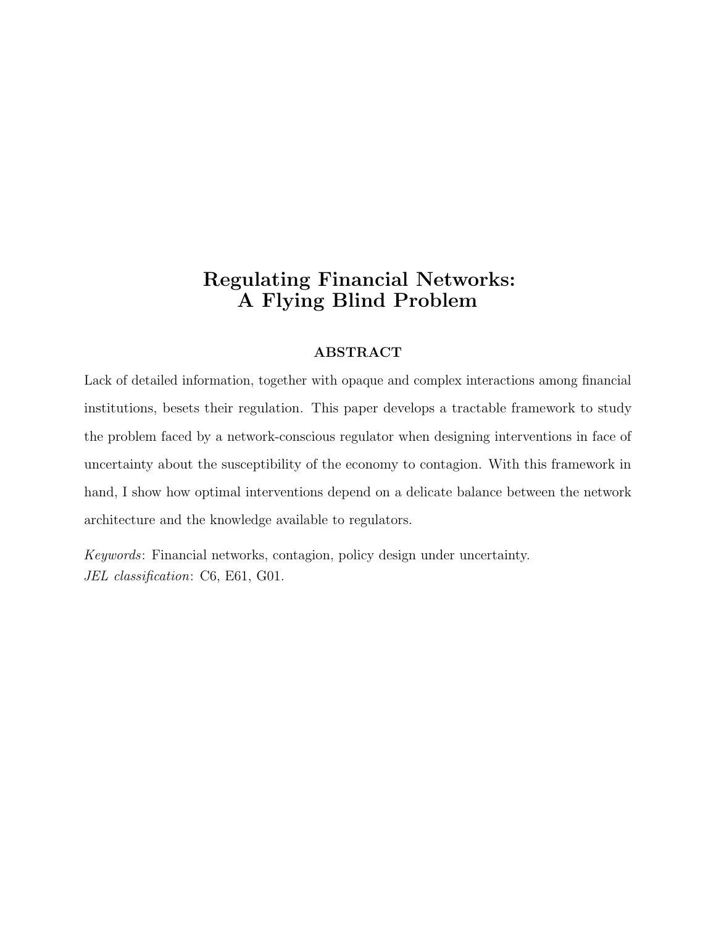# Regulating Financial Networks: A Flying Blind Problem

#### ABSTRACT

Lack of detailed information, together with opaque and complex interactions among financial institutions, besets their regulation. This paper develops a tractable framework to study the problem faced by a network-conscious regulator when designing interventions in face of uncertainty about the susceptibility of the economy to contagion. With this framework in hand, I show how optimal interventions depend on a delicate balance between the network architecture and the knowledge available to regulators.

Keywords: Financial networks, contagion, policy design under uncertainty. JEL classification: C6, E61, G01.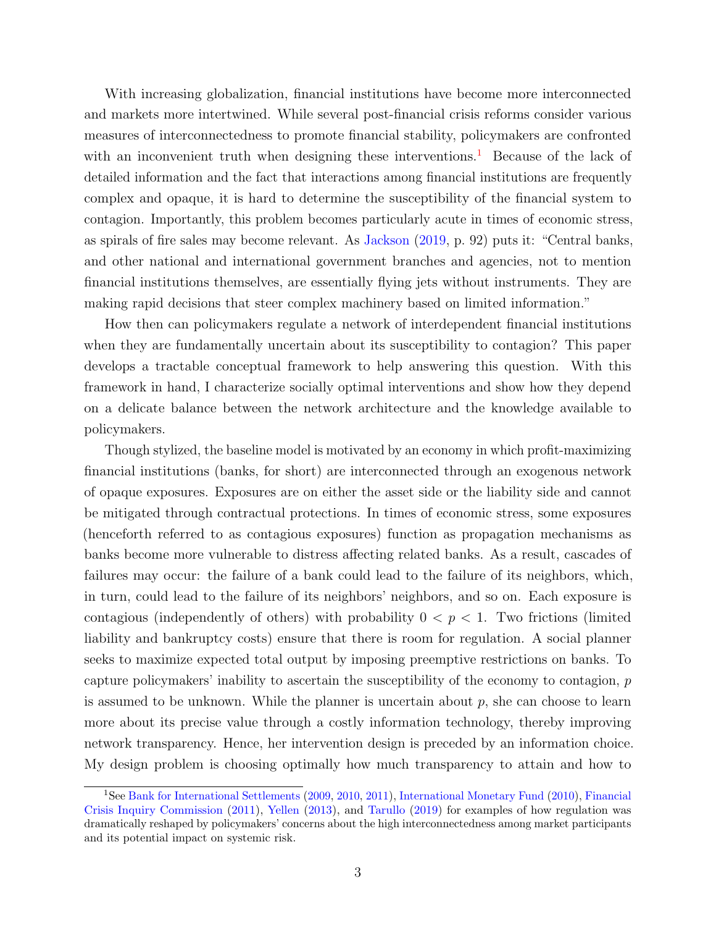With increasing globalization, financial institutions have become more interconnected and markets more intertwined. While several post-financial crisis reforms consider various measures of interconnectedness to promote financial stability, policymakers are confronted with an inconvenient truth when designing these interventions.<sup>[1](#page-2-0)</sup> Because of the lack of detailed information and the fact that interactions among financial institutions are frequently complex and opaque, it is hard to determine the susceptibility of the financial system to contagion. Importantly, this problem becomes particularly acute in times of economic stress, as spirals of fire sales may become relevant. As [Jackson](#page-39-0) [\(2019,](#page-39-0) p. 92) puts it: "Central banks, and other national and international government branches and agencies, not to mention financial institutions themselves, are essentially flying jets without instruments. They are making rapid decisions that steer complex machinery based on limited information."

How then can policymakers regulate a network of interdependent financial institutions when they are fundamentally uncertain about its susceptibility to contagion? This paper develops a tractable conceptual framework to help answering this question. With this framework in hand, I characterize socially optimal interventions and show how they depend on a delicate balance between the network architecture and the knowledge available to policymakers.

Though stylized, the baseline model is motivated by an economy in which profit-maximizing financial institutions (banks, for short) are interconnected through an exogenous network of opaque exposures. Exposures are on either the asset side or the liability side and cannot be mitigated through contractual protections. In times of economic stress, some exposures (henceforth referred to as contagious exposures) function as propagation mechanisms as banks become more vulnerable to distress affecting related banks. As a result, cascades of failures may occur: the failure of a bank could lead to the failure of its neighbors, which, in turn, could lead to the failure of its neighbors' neighbors, and so on. Each exposure is contagious (independently of others) with probability  $0 < p < 1$ . Two frictions (limited liability and bankruptcy costs) ensure that there is room for regulation. A social planner seeks to maximize expected total output by imposing preemptive restrictions on banks. To capture policymakers' inability to ascertain the susceptibility of the economy to contagion, p is assumed to be unknown. While the planner is uncertain about  $p$ , she can choose to learn more about its precise value through a costly information technology, thereby improving network transparency. Hence, her intervention design is preceded by an information choice. My design problem is choosing optimally how much transparency to attain and how to

<span id="page-2-0"></span><sup>1</sup>See [Bank for International Settlements](#page-37-0) [\(2009,](#page-37-0) [2010,](#page-37-1) [2011\)](#page-37-2), [International Monetary Fund](#page-39-1) [\(2010\)](#page-39-1), [Financial](#page-38-0) [Crisis Inquiry Commission](#page-38-0) [\(2011\)](#page-38-0), [Yellen](#page-40-0) [\(2013\)](#page-40-0), and [Tarullo](#page-40-1) [\(2019\)](#page-40-1) for examples of how regulation was dramatically reshaped by policymakers' concerns about the high interconnectedness among market participants and its potential impact on systemic risk.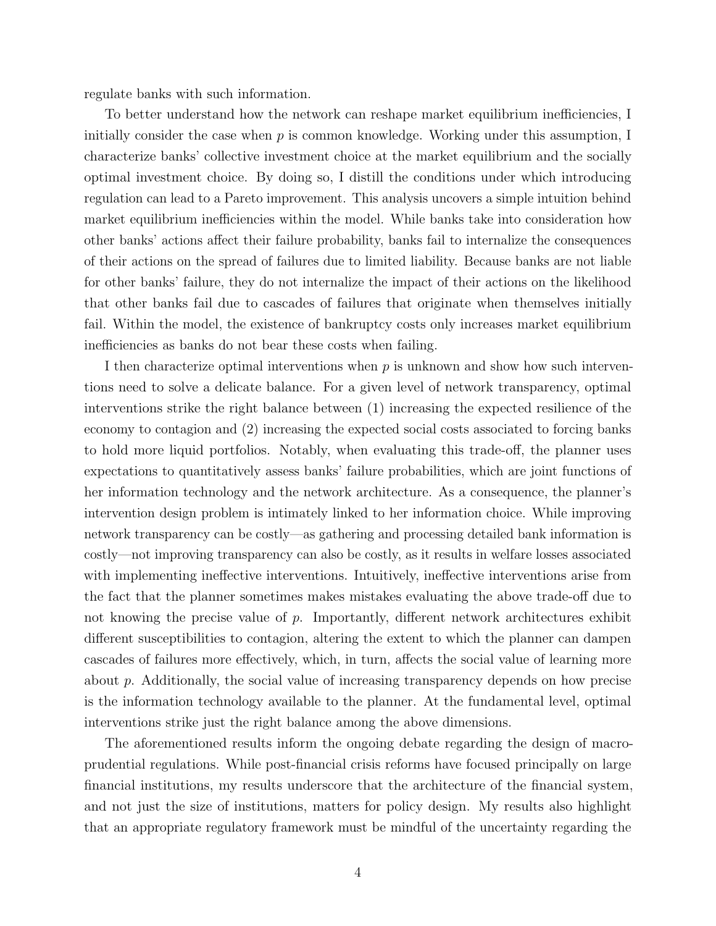regulate banks with such information.

To better understand how the network can reshape market equilibrium inefficiencies, I initially consider the case when  $p$  is common knowledge. Working under this assumption, I characterize banks' collective investment choice at the market equilibrium and the socially optimal investment choice. By doing so, I distill the conditions under which introducing regulation can lead to a Pareto improvement. This analysis uncovers a simple intuition behind market equilibrium inefficiencies within the model. While banks take into consideration how other banks' actions affect their failure probability, banks fail to internalize the consequences of their actions on the spread of failures due to limited liability. Because banks are not liable for other banks' failure, they do not internalize the impact of their actions on the likelihood that other banks fail due to cascades of failures that originate when themselves initially fail. Within the model, the existence of bankruptcy costs only increases market equilibrium inefficiencies as banks do not bear these costs when failing.

I then characterize optimal interventions when  $p$  is unknown and show how such interventions need to solve a delicate balance. For a given level of network transparency, optimal interventions strike the right balance between (1) increasing the expected resilience of the economy to contagion and (2) increasing the expected social costs associated to forcing banks to hold more liquid portfolios. Notably, when evaluating this trade-off, the planner uses expectations to quantitatively assess banks' failure probabilities, which are joint functions of her information technology and the network architecture. As a consequence, the planner's intervention design problem is intimately linked to her information choice. While improving network transparency can be costly—as gathering and processing detailed bank information is costly—not improving transparency can also be costly, as it results in welfare losses associated with implementing ineffective interventions. Intuitively, ineffective interventions arise from the fact that the planner sometimes makes mistakes evaluating the above trade-off due to not knowing the precise value of  $p$ . Importantly, different network architectures exhibit different susceptibilities to contagion, altering the extent to which the planner can dampen cascades of failures more effectively, which, in turn, affects the social value of learning more about p. Additionally, the social value of increasing transparency depends on how precise is the information technology available to the planner. At the fundamental level, optimal interventions strike just the right balance among the above dimensions.

The aforementioned results inform the ongoing debate regarding the design of macroprudential regulations. While post-financial crisis reforms have focused principally on large financial institutions, my results underscore that the architecture of the financial system, and not just the size of institutions, matters for policy design. My results also highlight that an appropriate regulatory framework must be mindful of the uncertainty regarding the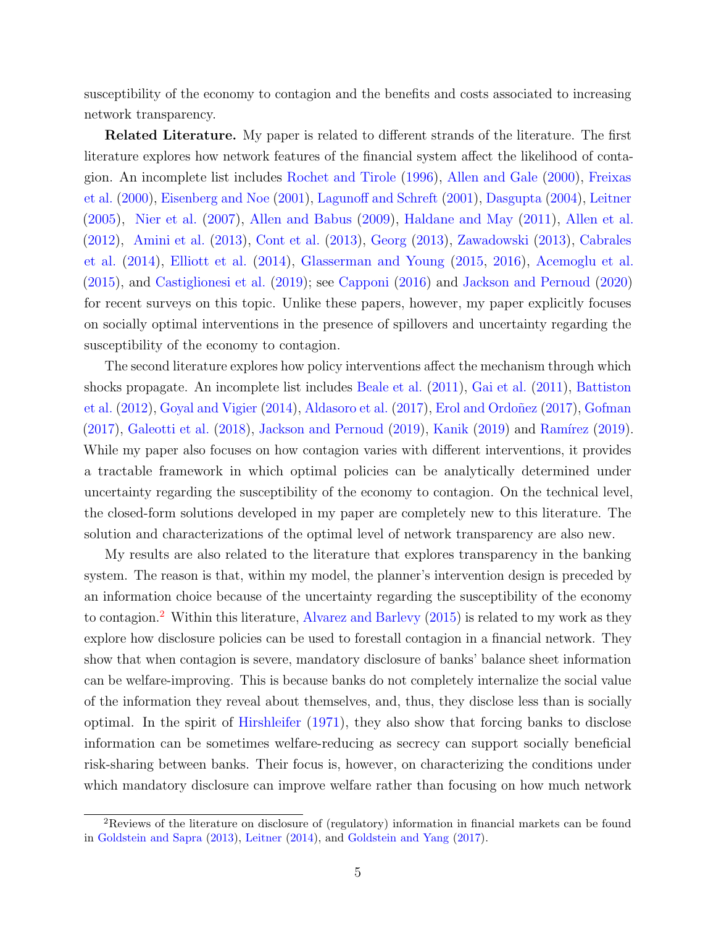susceptibility of the economy to contagion and the benefits and costs associated to increasing network transparency.

**Related Literature.** My paper is related to different strands of the literature. The first literature explores how network features of the financial system affect the likelihood of contagion. An incomplete list includes [Rochet and Tirole](#page-40-2) [\(1996\)](#page-40-2), [Allen and Gale](#page-37-3) [\(2000\)](#page-37-3), [Freixas](#page-38-1) [et al.](#page-38-1) [\(2000\)](#page-38-1), [Eisenberg and Noe](#page-38-2) [\(2001\)](#page-38-2), [Lagunoff and Schreft](#page-39-2) [\(2001\)](#page-39-2), [Dasgupta](#page-38-3) [\(2004\)](#page-38-3), [Leitner](#page-39-3) [\(2005\)](#page-39-3), [Nier et al.](#page-39-4) [\(2007\)](#page-39-4), [Allen and Babus](#page-36-0) [\(2009\)](#page-36-0), [Haldane and May](#page-39-5) [\(2011\)](#page-39-5), [Allen et al.](#page-37-4) [\(2012\)](#page-37-4), [Amini et al.](#page-37-5) [\(2013\)](#page-37-5), [Cont et al.](#page-38-4) [\(2013\)](#page-38-4), [Georg](#page-38-5) [\(2013\)](#page-38-5), [Zawadowski](#page-40-3) [\(2013\)](#page-40-3), [Cabrales](#page-37-6) [et al.](#page-37-6) [\(2014\)](#page-37-6), [Elliott et al.](#page-38-6) [\(2014\)](#page-38-6), [Glasserman and Young](#page-38-7) [\(2015,](#page-38-7) [2016\)](#page-38-8), [Acemoglu et al.](#page-36-1) [\(2015\)](#page-36-1), and [Castiglionesi et al.](#page-38-9) [\(2019\)](#page-38-9); see [Capponi](#page-37-7) [\(2016\)](#page-37-7) and [Jackson and Pernoud](#page-39-6) [\(2020\)](#page-39-6) for recent surveys on this topic. Unlike these papers, however, my paper explicitly focuses on socially optimal interventions in the presence of spillovers and uncertainty regarding the susceptibility of the economy to contagion.

The second literature explores how policy interventions affect the mechanism through which shocks propagate. An incomplete list includes [Beale et al.](#page-37-8) [\(2011\)](#page-37-8), [Gai et al.](#page-38-10) [\(2011\)](#page-38-10), [Battiston](#page-37-9) [et al.](#page-37-9) [\(2012\)](#page-37-9), [Goyal and Vigier](#page-39-7) [\(2014\)](#page-39-7), [Aldasoro et al.](#page-36-2) [\(2017\)](#page-38-11), Erol and Ordoñez (2017), [Gofman](#page-38-12)  $(2017)$ , [Galeotti et al.](#page-38-13)  $(2018)$ , [Jackson and Pernoud](#page-39-8)  $(2019)$ , [Kanik](#page-39-9)  $(2019)$  and Ramírez  $(2019)$ . While my paper also focuses on how contagion varies with different interventions, it provides a tractable framework in which optimal policies can be analytically determined under uncertainty regarding the susceptibility of the economy to contagion. On the technical level, the closed-form solutions developed in my paper are completely new to this literature. The solution and characterizations of the optimal level of network transparency are also new.

My results are also related to the literature that explores transparency in the banking system. The reason is that, within my model, the planner's intervention design is preceded by an information choice because of the uncertainty regarding the susceptibility of the economy to contagion.<sup>[2](#page-4-0)</sup> Within this literature, [Alvarez and Barlevy](#page-37-10)  $(2015)$  is related to my work as they explore how disclosure policies can be used to forestall contagion in a financial network. They show that when contagion is severe, mandatory disclosure of banks' balance sheet information can be welfare-improving. This is because banks do not completely internalize the social value of the information they reveal about themselves, and, thus, they disclose less than is socially optimal. In the spirit of [Hirshleifer](#page-39-10) [\(1971\)](#page-39-10), they also show that forcing banks to disclose information can be sometimes welfare-reducing as secrecy can support socially beneficial risk-sharing between banks. Their focus is, however, on characterizing the conditions under which mandatory disclosure can improve welfare rather than focusing on how much network

<span id="page-4-0"></span><sup>2</sup>Reviews of the literature on disclosure of (regulatory) information in financial markets can be found in [Goldstein and Sapra](#page-39-11) [\(2013\)](#page-39-11), [Leitner](#page-39-12) [\(2014\)](#page-39-12), and [Goldstein and Yang](#page-39-13) [\(2017\)](#page-39-13).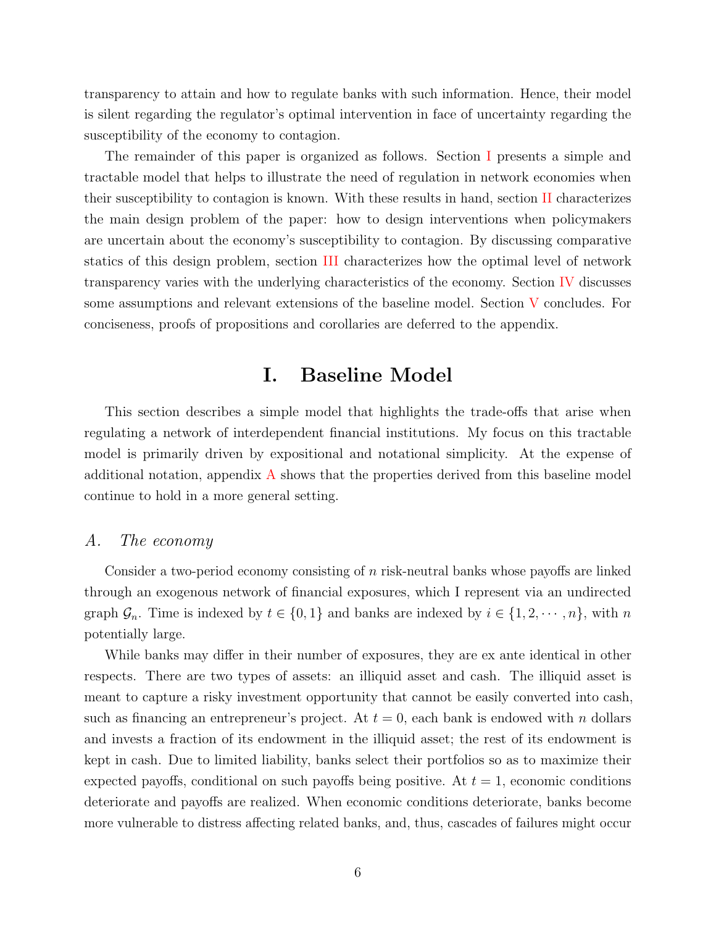transparency to attain and how to regulate banks with such information. Hence, their model is silent regarding the regulator's optimal intervention in face of uncertainty regarding the susceptibility of the economy to contagion.

The remainder of this paper is organized as follows. Section [I](#page-5-0) presents a simple and tractable model that helps to illustrate the need of regulation in network economies when their susceptibility to contagion is known. With these results in hand, section [II](#page-11-0) characterizes the main design problem of the paper: how to design interventions when policymakers are uncertain about the economy's susceptibility to contagion. By discussing comparative statics of this design problem, section [III](#page-15-0) characterizes how the optimal level of network transparency varies with the underlying characteristics of the economy. Section [IV](#page-19-0) discusses some assumptions and relevant extensions of the baseline model. Section [V](#page-22-0) concludes. For conciseness, proofs of propositions and corollaries are deferred to the appendix.

# I. Baseline Model

<span id="page-5-0"></span>This section describes a simple model that highlights the trade-offs that arise when regulating a network of interdependent financial institutions. My focus on this tractable model is primarily driven by expositional and notational simplicity. At the expense of additional notation, appendix  $\vec{A}$  $\vec{A}$  $\vec{A}$  shows that the properties derived from this baseline model continue to hold in a more general setting.

#### A. The economy

Consider a two-period economy consisting of  $n$  risk-neutral banks whose payoffs are linked through an exogenous network of financial exposures, which I represent via an undirected graph  $\mathcal{G}_n$ . Time is indexed by  $t \in \{0, 1\}$  and banks are indexed by  $i \in \{1, 2, \dots, n\}$ , with n potentially large.

While banks may differ in their number of exposures, they are ex ante identical in other respects. There are two types of assets: an illiquid asset and cash. The illiquid asset is meant to capture a risky investment opportunity that cannot be easily converted into cash, such as financing an entrepreneur's project. At  $t = 0$ , each bank is endowed with n dollars and invests a fraction of its endowment in the illiquid asset; the rest of its endowment is kept in cash. Due to limited liability, banks select their portfolios so as to maximize their expected payoffs, conditional on such payoffs being positive. At  $t = 1$ , economic conditions deteriorate and payoffs are realized. When economic conditions deteriorate, banks become more vulnerable to distress affecting related banks, and, thus, cascades of failures might occur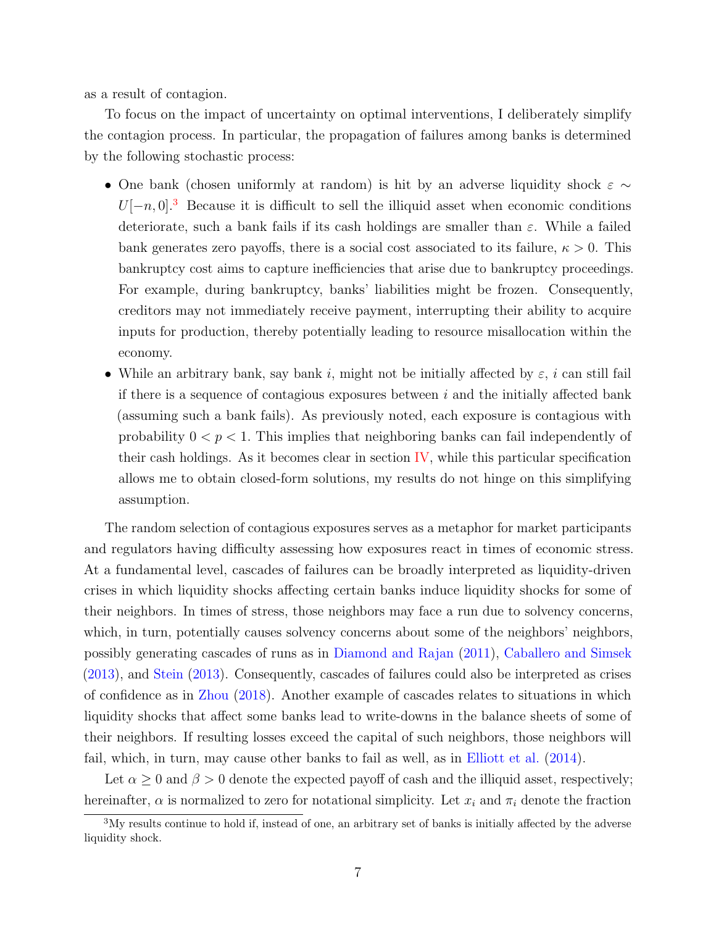as a result of contagion.

To focus on the impact of uncertainty on optimal interventions, I deliberately simplify the contagion process. In particular, the propagation of failures among banks is determined by the following stochastic process:

- One bank (chosen uniformly at random) is hit by an adverse liquidity shock  $\varepsilon \sim$  $U[-n, 0]^3$  $U[-n, 0]^3$  Because it is difficult to sell the illiquid asset when economic conditions deteriorate, such a bank fails if its cash holdings are smaller than  $\varepsilon$ . While a failed bank generates zero payoffs, there is a social cost associated to its failure,  $\kappa > 0$ . This bankruptcy cost aims to capture inefficiencies that arise due to bankruptcy proceedings. For example, during bankruptcy, banks' liabilities might be frozen. Consequently, creditors may not immediately receive payment, interrupting their ability to acquire inputs for production, thereby potentially leading to resource misallocation within the economy.
- While an arbitrary bank, say bank i, might not be initially affected by  $\varepsilon$ , i can still fail if there is a sequence of contagious exposures between  $i$  and the initially affected bank (assuming such a bank fails). As previously noted, each exposure is contagious with probability  $0 < p < 1$ . This implies that neighboring banks can fail independently of their cash holdings. As it becomes clear in section  $\mathbf{IV}$ , while this particular specification allows me to obtain closed-form solutions, my results do not hinge on this simplifying assumption.

The random selection of contagious exposures serves as a metaphor for market participants and regulators having difficulty assessing how exposures react in times of economic stress. At a fundamental level, cascades of failures can be broadly interpreted as liquidity-driven crises in which liquidity shocks affecting certain banks induce liquidity shocks for some of their neighbors. In times of stress, those neighbors may face a run due to solvency concerns, which, in turn, potentially causes solvency concerns about some of the neighbors' neighbors, possibly generating cascades of runs as in [Diamond and Rajan](#page-38-14) [\(2011\)](#page-38-14), [Caballero and Simsek](#page-37-11) [\(2013\)](#page-37-11), and [Stein](#page-40-5) [\(2013\)](#page-40-5). Consequently, cascades of failures could also be interpreted as crises of confidence as in [Zhou](#page-40-6) [\(2018\)](#page-40-6). Another example of cascades relates to situations in which liquidity shocks that affect some banks lead to write-downs in the balance sheets of some of their neighbors. If resulting losses exceed the capital of such neighbors, those neighbors will fail, which, in turn, may cause other banks to fail as well, as in [Elliott et al.](#page-38-6) [\(2014\)](#page-38-6).

Let  $\alpha \geq 0$  and  $\beta > 0$  denote the expected payoff of cash and the illiquid asset, respectively; hereinafter,  $\alpha$  is normalized to zero for notational simplicity. Let  $x_i$  and  $\pi_i$  denote the fraction

<span id="page-6-0"></span><sup>3</sup>My results continue to hold if, instead of one, an arbitrary set of banks is initially affected by the adverse liquidity shock.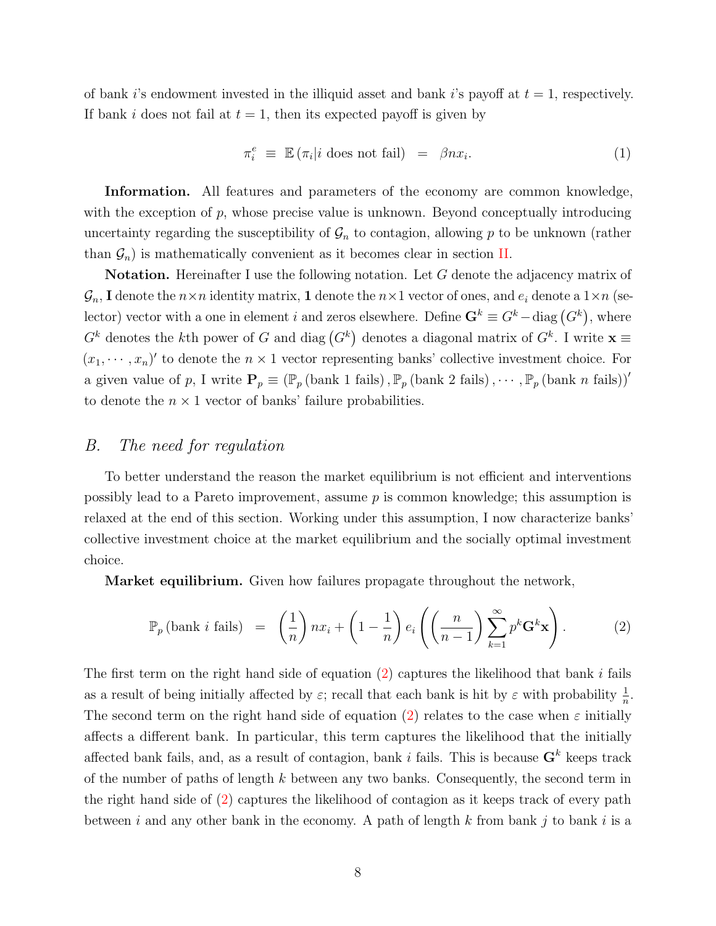of bank i's endowment invested in the illiquid asset and bank i's payoff at  $t = 1$ , respectively. If bank i does not fail at  $t = 1$ , then its expected payoff is given by

$$
\pi_i^e \equiv \mathbb{E} \left( \pi_i | i \text{ does not fail} \right) = \beta n x_i. \tag{1}
$$

Information. All features and parameters of the economy are common knowledge, with the exception of  $p$ , whose precise value is unknown. Beyond conceptually introducing uncertainty regarding the susceptibility of  $\mathcal{G}_n$  to contagion, allowing p to be unknown (rather than  $\mathcal{G}_n$ ) is mathematically convenient as it becomes clear in section [II.](#page-11-0)

**Notation.** Hereinafter I use the following notation. Let G denote the adjacency matrix of  $\mathcal{G}_n$ , I denote the  $n \times n$  identity matrix, 1 denote the  $n \times 1$  vector of ones, and  $e_i$  denote a  $1 \times n$  (selector) vector with a one in element i and zeros elsewhere. Define  $\mathbf{G}^k \equiv G^k - \text{diag}(G^k)$ , where  $G^k$  denotes the kth power of G and diag  $(G^k)$  denotes a diagonal matrix of  $G^k$ . I write  $\mathbf{x} \equiv$  $(x_1, \dots, x_n)'$  to denote the  $n \times 1$  vector representing banks' collective investment choice. For a given value of p, I write  $\mathbf{P}_p \equiv (\mathbb{P}_p \text{ (bank 1 fails)}, \mathbb{P}_p \text{ (bank 2 fails)}, \cdots, \mathbb{P}_p \text{ (bank } n \text{ fails)})'$ to denote the  $n \times 1$  vector of banks' failure probabilities.

#### B. The need for regulation

To better understand the reason the market equilibrium is not efficient and interventions possibly lead to a Pareto improvement, assume  $p$  is common knowledge; this assumption is relaxed at the end of this section. Working under this assumption, I now characterize banks' collective investment choice at the market equilibrium and the socially optimal investment choice.

**Market equilibrium.** Given how failures propagate throughout the network,

<span id="page-7-0"></span>
$$
\mathbb{P}_p\left(\text{bank } i \text{ fails}\right) = \left(\frac{1}{n}\right) nx_i + \left(1 - \frac{1}{n}\right) e_i \left(\left(\frac{n}{n-1}\right) \sum_{k=1}^{\infty} p^k \mathbf{G}^k \mathbf{x}\right). \tag{2}
$$

The first term on the right hand side of equation  $(2)$  captures the likelihood that bank i fails as a result of being initially affected by  $\varepsilon$ ; recall that each bank is hit by  $\varepsilon$  with probability  $\frac{1}{n}$ . The second term on the right hand side of equation [\(2\)](#page-7-0) relates to the case when  $\varepsilon$  initially affects a different bank. In particular, this term captures the likelihood that the initially affected bank fails, and, as a result of contagion, bank i fails. This is because  $G^k$  keeps track of the number of paths of length  $k$  between any two banks. Consequently, the second term in the right hand side of [\(2\)](#page-7-0) captures the likelihood of contagion as it keeps track of every path between i and any other bank in the economy. A path of length k from bank j to bank i is a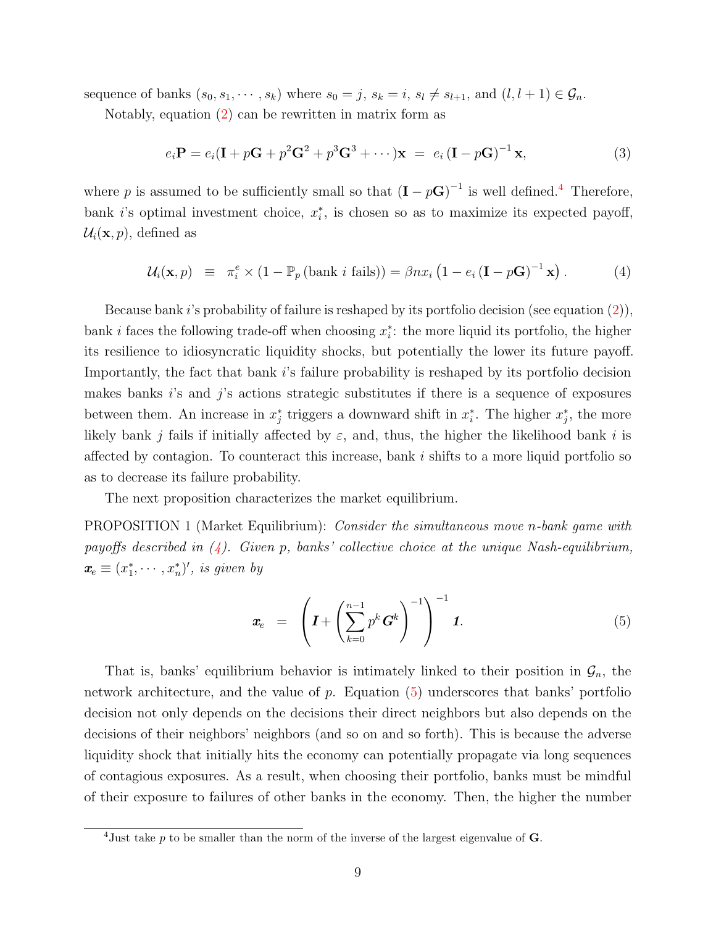sequence of banks  $(s_0, s_1, \dots, s_k)$  where  $s_0 = j$ ,  $s_k = i$ ,  $s_l \neq s_{l+1}$ , and  $(l, l + 1) \in \mathcal{G}_n$ .

Notably, equation  $(2)$  can be rewritten in matrix form as

$$
e_i \mathbf{P} = e_i (\mathbf{I} + p\mathbf{G} + p^2 \mathbf{G}^2 + p^3 \mathbf{G}^3 + \cdots) \mathbf{x} = e_i (\mathbf{I} - p\mathbf{G})^{-1} \mathbf{x},
$$
\n(3)

where p is assumed to be sufficiently small so that  $(I - pG)^{-1}$  is well defined.<sup>[4](#page-8-0)</sup> Therefore, bank i's optimal investment choice,  $x_i^*$ , is chosen so as to maximize its expected payoff,  $\mathcal{U}_i(\mathbf{x}, p)$ , defined as

<span id="page-8-1"></span>
$$
\mathcal{U}_i(\mathbf{x}, p) \equiv \pi_i^e \times (1 - \mathbb{P}_p(\text{bank } i \text{ fails})) = \beta nx_i (1 - e_i (\mathbf{I} - p\mathbf{G})^{-1} \mathbf{x}). \tag{4}
$$

Because bank i's probability of failure is reshaped by its portfolio decision (see equation  $(2)$ ), bank *i* faces the following trade-off when choosing  $x_i^*$ : the more liquid its portfolio, the higher its resilience to idiosyncratic liquidity shocks, but potentially the lower its future payoff. Importantly, the fact that bank i's failure probability is reshaped by its portfolio decision makes banks  $i$ 's and  $j$ 's actions strategic substitutes if there is a sequence of exposures between them. An increase in  $x_j^*$  triggers a downward shift in  $x_i^*$ . The higher  $x_j^*$ , the more likely bank j fails if initially affected by  $\varepsilon$ , and, thus, the higher the likelihood bank i is affected by contagion. To counteract this increase, bank  $i$  shifts to a more liquid portfolio so as to decrease its failure probability.

The next proposition characterizes the market equilibrium.

<span id="page-8-3"></span>PROPOSITION 1 (Market Equilibrium): Consider the simultaneous move n-bank game with payoffs described in  $(4)$ . Given p, banks' collective choice at the unique Nash-equilibrium,  $\boldsymbol{x}_e \equiv (x_1^*, \cdots, x_n^*)'$ , is given by

<span id="page-8-2"></span>
$$
\boldsymbol{x}_{e} = \left( \boldsymbol{I} + \left( \sum_{k=0}^{n-1} p^{k} \boldsymbol{G}^{k} \right)^{-1} \right)^{-1} \boldsymbol{I}.
$$
 (5)

That is, banks' equilibrium behavior is intimately linked to their position in  $\mathcal{G}_n$ , the network architecture, and the value of  $p$ . Equation  $(5)$  underscores that banks' portfolio decision not only depends on the decisions their direct neighbors but also depends on the decisions of their neighbors' neighbors (and so on and so forth). This is because the adverse liquidity shock that initially hits the economy can potentially propagate via long sequences of contagious exposures. As a result, when choosing their portfolio, banks must be mindful of their exposure to failures of other banks in the economy. Then, the higher the number

<span id="page-8-0"></span> $\frac{4 \text{Just}}{4 \text{Just}}$  take p to be smaller than the norm of the inverse of the largest eigenvalue of **G**.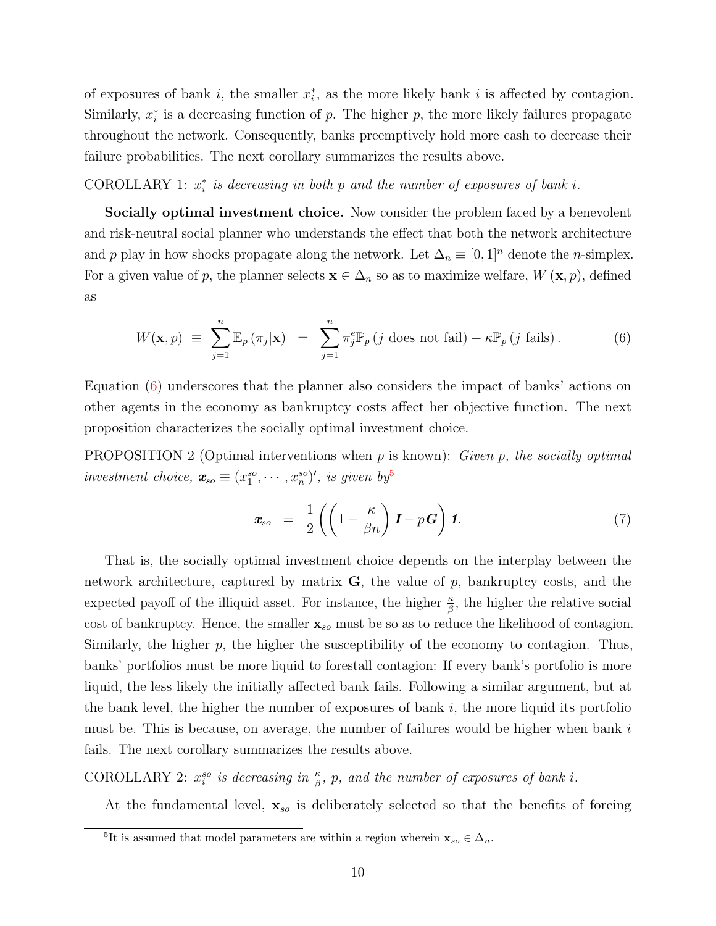of exposures of bank  $i$ , the smaller  $x_i^*$ , as the more likely bank  $i$  is affected by contagion. Similarly,  $x_i^*$  is a decreasing function of p. The higher p, the more likely failures propagate throughout the network. Consequently, banks preemptively hold more cash to decrease their failure probabilities. The next corollary summarizes the results above.

<span id="page-9-3"></span>COROLLARY 1:  $x_i^*$  is decreasing in both p and the number of exposures of bank i.

Socially optimal investment choice. Now consider the problem faced by a benevolent and risk-neutral social planner who understands the effect that both the network architecture and p play in how shocks propagate along the network. Let  $\Delta_n \equiv [0,1]^n$  denote the n-simplex. For a given value of p, the planner selects  $\mathbf{x} \in \Delta_n$  so as to maximize welfare,  $W(\mathbf{x}, p)$ , defined as

<span id="page-9-0"></span>
$$
W(\mathbf{x}, p) \equiv \sum_{j=1}^{n} \mathbb{E}_p(\pi_j|\mathbf{x}) = \sum_{j=1}^{n} \pi_j^e \mathbb{P}_p(j \text{ does not fail}) - \kappa \mathbb{P}_p(j \text{ fails}). \tag{6}
$$

Equation [\(6\)](#page-9-0) underscores that the planner also considers the impact of banks' actions on other agents in the economy as bankruptcy costs affect her objective function. The next proposition characterizes the socially optimal investment choice.

<span id="page-9-4"></span>**PROPOSITION 2** (Optimal interventions when  $p$  is known): *Given*  $p$ *, the socially optimal* investment choice,  $\mathbf{x}_{so} \equiv (x_1^{so}, \cdots, x_n^{so})'$ , is given by

<span id="page-9-2"></span>
$$
\boldsymbol{x}_{so} = \frac{1}{2} \left( \left( 1 - \frac{\kappa}{\beta n} \right) \boldsymbol{I} - p \boldsymbol{G} \right) \boldsymbol{1}.
$$
 (7)

That is, the socially optimal investment choice depends on the interplay between the network architecture, captured by matrix  $\bf{G}$ , the value of p, bankruptcy costs, and the expected payoff of the illiquid asset. For instance, the higher  $\frac{\kappa}{\beta}$ , the higher the relative social cost of bankruptcy. Hence, the smaller  $\mathbf{x}_{so}$  must be so as to reduce the likelihood of contagion. Similarly, the higher  $p$ , the higher the susceptibility of the economy to contagion. Thus, banks' portfolios must be more liquid to forestall contagion: If every bank's portfolio is more liquid, the less likely the initially affected bank fails. Following a similar argument, but at the bank level, the higher the number of exposures of bank  $i$ , the more liquid its portfolio must be. This is because, on average, the number of failures would be higher when bank  $i$ fails. The next corollary summarizes the results above.

<span id="page-9-5"></span>COROLLARY 2:  $x_i^{so}$  is decreasing in  $\frac{\kappa}{\beta}$ , p, and the number of exposures of bank i.

At the fundamental level,  $\mathbf{x}_{so}$  is deliberately selected so that the benefits of forcing

<span id="page-9-1"></span><sup>&</sup>lt;sup>5</sup>It is assumed that model parameters are within a region wherein  $\mathbf{x}_{so} \in \Delta_n$ .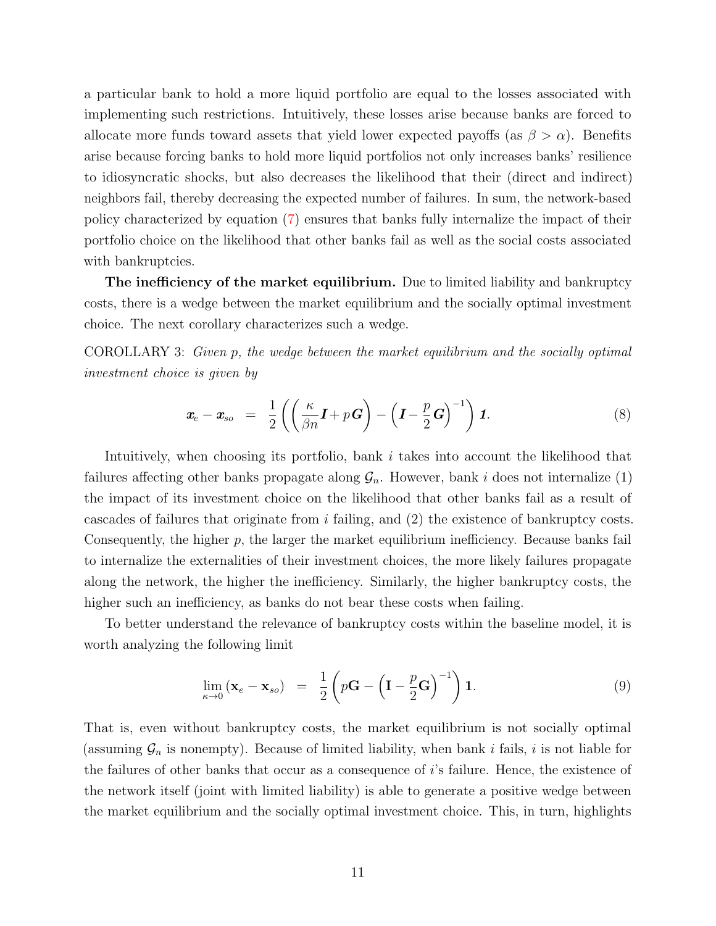a particular bank to hold a more liquid portfolio are equal to the losses associated with implementing such restrictions. Intuitively, these losses arise because banks are forced to allocate more funds toward assets that yield lower expected payoffs (as  $\beta > \alpha$ ). Benefits arise because forcing banks to hold more liquid portfolios not only increases banks' resilience to idiosyncratic shocks, but also decreases the likelihood that their (direct and indirect) neighbors fail, thereby decreasing the expected number of failures. In sum, the network-based policy characterized by equation [\(7\)](#page-9-2) ensures that banks fully internalize the impact of their portfolio choice on the likelihood that other banks fail as well as the social costs associated with bankruptcies.

The inefficiency of the market equilibrium. Due to limited liability and bankruptcy costs, there is a wedge between the market equilibrium and the socially optimal investment choice. The next corollary characterizes such a wedge.

<span id="page-10-1"></span>COROLLARY 3: Given p, the wedge between the market equilibrium and the socially optimal investment choice is given by

$$
\boldsymbol{x}_{e} - \boldsymbol{x}_{so} = \frac{1}{2} \left( \left( \frac{\kappa}{\beta n} \boldsymbol{I} + p \boldsymbol{G} \right) - \left( \boldsymbol{I} - \frac{p}{2} \boldsymbol{G} \right)^{-1} \right) \boldsymbol{1}.
$$
 (8)

Intuitively, when choosing its portfolio, bank i takes into account the likelihood that failures affecting other banks propagate along  $\mathcal{G}_n$ . However, bank i does not internalize (1) the impact of its investment choice on the likelihood that other banks fail as a result of cascades of failures that originate from i failing, and (2) the existence of bankruptcy costs. Consequently, the higher p, the larger the market equilibrium inefficiency. Because banks fail to internalize the externalities of their investment choices, the more likely failures propagate along the network, the higher the inefficiency. Similarly, the higher bankruptcy costs, the higher such an inefficiency, as banks do not bear these costs when failing.

To better understand the relevance of bankruptcy costs within the baseline model, it is worth analyzing the following limit

<span id="page-10-0"></span>
$$
\lim_{\kappa \to 0} (\mathbf{x}_e - \mathbf{x}_{so}) = \frac{1}{2} \left( p\mathbf{G} - \left( \mathbf{I} - \frac{p}{2} \mathbf{G} \right)^{-1} \right) \mathbf{1}.
$$
 (9)

That is, even without bankruptcy costs, the market equilibrium is not socially optimal (assuming  $\mathcal{G}_n$  is nonempty). Because of limited liability, when bank i fails, i is not liable for the failures of other banks that occur as a consequence of  $i$ 's failure. Hence, the existence of the network itself (joint with limited liability) is able to generate a positive wedge between the market equilibrium and the socially optimal investment choice. This, in turn, highlights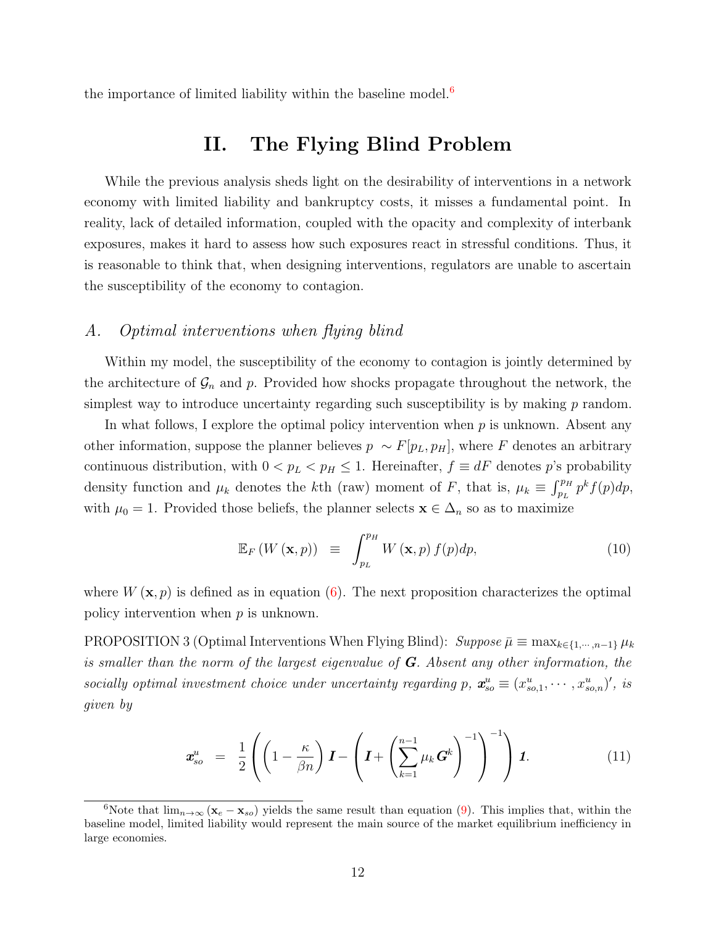<span id="page-11-0"></span>the importance of limited liability within the baseline model. $6$ 

# II. The Flying Blind Problem

While the previous analysis sheds light on the desirability of interventions in a network economy with limited liability and bankruptcy costs, it misses a fundamental point. In reality, lack of detailed information, coupled with the opacity and complexity of interbank exposures, makes it hard to assess how such exposures react in stressful conditions. Thus, it is reasonable to think that, when designing interventions, regulators are unable to ascertain the susceptibility of the economy to contagion.

#### A. Optimal interventions when flying blind

Within my model, the susceptibility of the economy to contagion is jointly determined by the architecture of  $\mathcal{G}_n$  and p. Provided how shocks propagate throughout the network, the simplest way to introduce uncertainty regarding such susceptibility is by making  $p$  random.

In what follows, I explore the optimal policy intervention when  $p$  is unknown. Absent any other information, suppose the planner believes  $p \sim F[p_L, p_H]$ , where F denotes an arbitrary continuous distribution, with  $0 < p_L < p_H \leq 1$ . Hereinafter,  $f \equiv dF$  denotes p's probability density function and  $\mu_k$  denotes the kth (raw) moment of F, that is,  $\mu_k \equiv \int_{p_L}^{p_H} p^k f(p) dp$ , with  $\mu_0 = 1$ . Provided those beliefs, the planner selects  $\mathbf{x} \in \Delta_n$  so as to maximize

$$
\mathbb{E}_F\left(W\left(\mathbf{x},p\right)\right) \equiv \int_{p_L}^{p_H} W\left(\mathbf{x},p\right) f(p) dp, \tag{10}
$$

where  $W(\mathbf{x}, p)$  is defined as in equation [\(6\)](#page-9-0). The next proposition characterizes the optimal policy intervention when p is unknown.

<span id="page-11-3"></span>PROPOSITION 3 (Optimal Interventions When Flying Blind):  $Suppose \bar{\mu} \equiv \max_{k \in \{1, \dots, n-1\}} \mu_k$ is smaller than the norm of the largest eigenvalue of  $G$ . Absent any other information, the socially optimal investment choice under uncertainty regarding p,  $\mathbf{x}_{so}^u \equiv (x_{so,1}^u, \cdots, x_{so,n}^u)'$ , is given by

<span id="page-11-2"></span>
$$
\mathbf{x}_{so}^u = \frac{1}{2} \left( \left( 1 - \frac{\kappa}{\beta n} \right) \mathbf{I} - \left( \mathbf{I} + \left( \sum_{k=1}^{n-1} \mu_k \mathbf{G}^k \right)^{-1} \right) \right) \mathbf{1}.
$$
 (11)

<span id="page-11-1"></span><sup>6</sup>Note that  $\lim_{n\to\infty} (\mathbf{x}_e - \mathbf{x}_{so})$  yields the same result than equation [\(9\)](#page-10-0). This implies that, within the baseline model, limited liability would represent the main source of the market equilibrium inefficiency in large economies.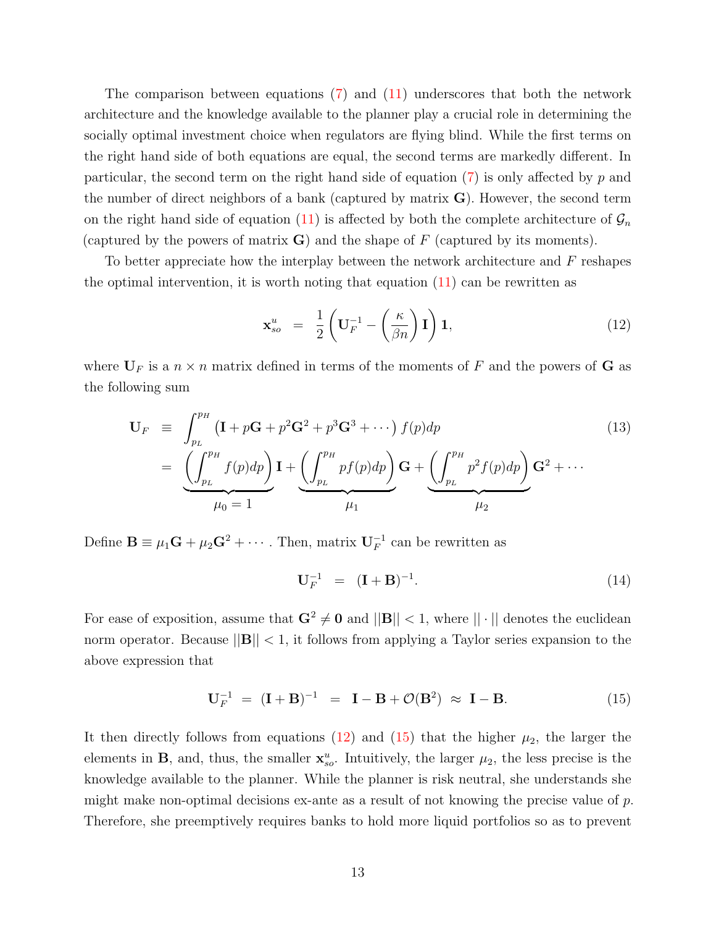The comparison between equations [\(7\)](#page-9-2) and [\(11\)](#page-11-2) underscores that both the network architecture and the knowledge available to the planner play a crucial role in determining the socially optimal investment choice when regulators are flying blind. While the first terms on the right hand side of both equations are equal, the second terms are markedly different. In particular, the second term on the right hand side of equation  $(7)$  is only affected by p and the number of direct neighbors of a bank (captured by matrix  $\bf{G}$ ). However, the second term on the right hand side of equation [\(11\)](#page-11-2) is affected by both the complete architecture of  $\mathcal{G}_n$ (captured by the powers of matrix  $\bf{G}$ ) and the shape of F (captured by its moments).

To better appreciate how the interplay between the network architecture and  $F$  reshapes the optimal intervention, it is worth noting that equation  $(11)$  can be rewritten as

<span id="page-12-0"></span>
$$
\mathbf{x}_{so}^u = \frac{1}{2} \left( \mathbf{U}_F^{-1} - \left( \frac{\kappa}{\beta n} \right) \mathbf{I} \right) \mathbf{1},\tag{12}
$$

where  $U_F$  is a  $n \times n$  matrix defined in terms of the moments of F and the powers of G as the following sum

<span id="page-12-2"></span>
$$
\mathbf{U}_F \equiv \int_{p_L}^{p_H} (\mathbf{I} + p\mathbf{G} + p^2 \mathbf{G}^2 + p^3 \mathbf{G}^3 + \cdots) f(p) dp
$$
\n
$$
= \underbrace{\left(\int_{p_L}^{p_H} f(p) dp\right)}_{\mu_0 = 1} \mathbf{I} + \underbrace{\left(\int_{p_L}^{p_H} p f(p) dp\right)}_{\mu_1} \mathbf{G} + \underbrace{\left(\int_{p_L}^{p_H} p^2 f(p) dp\right)}_{\mu_2} \mathbf{G}^2 + \cdots
$$
\n(13)

Define  $\mathbf{B} \equiv \mu_1 \mathbf{G} + \mu_2 \mathbf{G}^2 + \cdots$ . Then, matrix  $\mathbf{U}_F^{-1}$  can be rewritten as

$$
\mathbf{U}_F^{-1} = (\mathbf{I} + \mathbf{B})^{-1}.
$$
 (14)

For ease of exposition, assume that  $\mathbf{G}^2 \neq \mathbf{0}$  and  $||\mathbf{B}|| < 1$ , where  $|| \cdot ||$  denotes the euclidean norm operator. Because  $||\mathbf{B}|| < 1$ , it follows from applying a Taylor series expansion to the above expression that

<span id="page-12-1"></span>
$$
U_F^{-1} = (I + B)^{-1} = I - B + \mathcal{O}(B^2) \approx I - B.
$$
 (15)

It then directly follows from equations [\(12\)](#page-12-0) and [\(15\)](#page-12-1) that the higher  $\mu_2$ , the larger the elements in **B**, and, thus, the smaller  $\mathbf{x}_{so}^u$ . Intuitively, the larger  $\mu_2$ , the less precise is the knowledge available to the planner. While the planner is risk neutral, she understands she might make non-optimal decisions ex-ante as a result of not knowing the precise value of  $p$ . Therefore, she preemptively requires banks to hold more liquid portfolios so as to prevent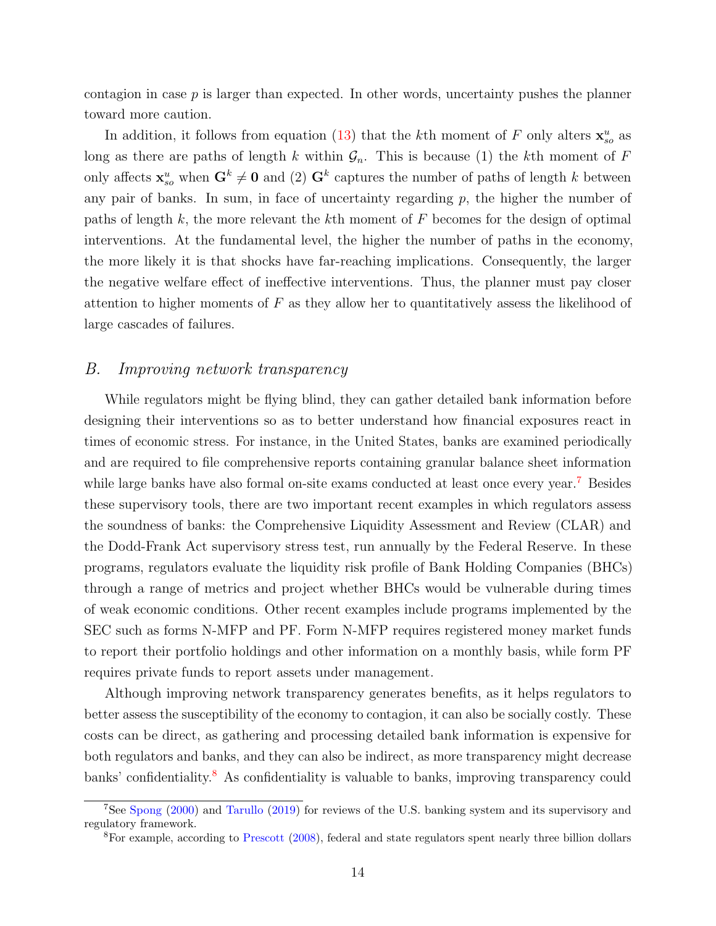contagion in case  $p$  is larger than expected. In other words, uncertainty pushes the planner toward more caution.

In addition, it follows from equation [\(13\)](#page-12-2) that the k<sup>th</sup> moment of F only alters  $\mathbf{x}_{so}^u$  as long as there are paths of length k within  $\mathcal{G}_n$ . This is because (1) the kth moment of F only affects  $\mathbf{x}_{so}^u$  when  $\mathbf{G}^k \neq \mathbf{0}$  and (2)  $\mathbf{G}^k$  captures the number of paths of length k between any pair of banks. In sum, in face of uncertainty regarding  $p$ , the higher the number of paths of length  $k$ , the more relevant the kth moment of  $F$  becomes for the design of optimal interventions. At the fundamental level, the higher the number of paths in the economy, the more likely it is that shocks have far-reaching implications. Consequently, the larger the negative welfare effect of ineffective interventions. Thus, the planner must pay closer attention to higher moments of  $F$  as they allow her to quantitatively assess the likelihood of large cascades of failures.

#### B. Improving network transparency

While regulators might be flying blind, they can gather detailed bank information before designing their interventions so as to better understand how financial exposures react in times of economic stress. For instance, in the United States, banks are examined periodically and are required to file comprehensive reports containing granular balance sheet information while large banks have also formal on-site exams conducted at least once every year.<sup>[7](#page-13-0)</sup> Besides these supervisory tools, there are two important recent examples in which regulators assess the soundness of banks: the Comprehensive Liquidity Assessment and Review (CLAR) and the Dodd-Frank Act supervisory stress test, run annually by the Federal Reserve. In these programs, regulators evaluate the liquidity risk profile of Bank Holding Companies (BHCs) through a range of metrics and project whether BHCs would be vulnerable during times of weak economic conditions. Other recent examples include programs implemented by the SEC such as forms N-MFP and PF. Form N-MFP requires registered money market funds to report their portfolio holdings and other information on a monthly basis, while form PF requires private funds to report assets under management.

Although improving network transparency generates benefits, as it helps regulators to better assess the susceptibility of the economy to contagion, it can also be socially costly. These costs can be direct, as gathering and processing detailed bank information is expensive for both regulators and banks, and they can also be indirect, as more transparency might decrease banks' confidentiality.<sup>[8](#page-13-1)</sup> As confidentiality is valuable to banks, improving transparency could

<span id="page-13-0"></span><sup>7</sup>See [Spong](#page-40-7) [\(2000\)](#page-40-7) and [Tarullo](#page-40-1) [\(2019\)](#page-40-1) for reviews of the U.S. banking system and its supervisory and regulatory framework.

<span id="page-13-1"></span><sup>8</sup>For example, according to [Prescott](#page-40-8) [\(2008\)](#page-40-8), federal and state regulators spent nearly three billion dollars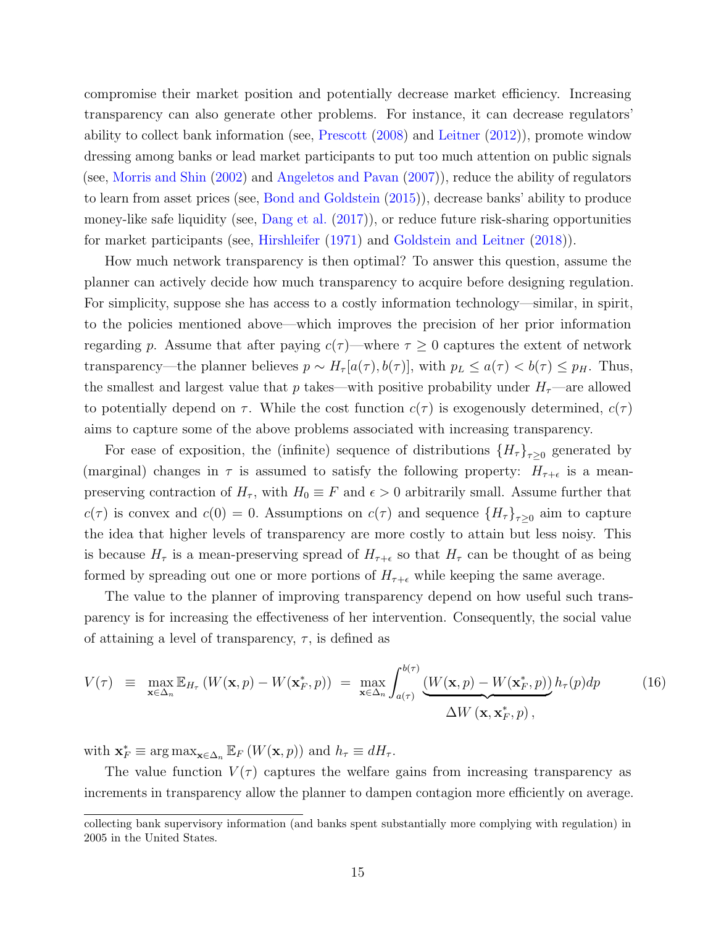compromise their market position and potentially decrease market efficiency. Increasing transparency can also generate other problems. For instance, it can decrease regulators' ability to collect bank information (see, [Prescott](#page-40-8) [\(2008\)](#page-40-8) and [Leitner](#page-39-14) [\(2012\)](#page-39-14)), promote window dressing among banks or lead market participants to put too much attention on public signals (see, [Morris and Shin](#page-39-15) [\(2002\)](#page-39-15) and [Angeletos and Pavan](#page-37-12) [\(2007\)](#page-37-12)), reduce the ability of regulators to learn from asset prices (see, [Bond and Goldstein](#page-37-13) [\(2015\)](#page-37-13)), decrease banks' ability to produce money-like safe liquidity (see, [Dang et al.](#page-38-15) [\(2017\)](#page-38-15)), or reduce future risk-sharing opportunities for market participants (see, [Hirshleifer](#page-39-10) [\(1971\)](#page-39-10) and [Goldstein and Leitner](#page-39-16) [\(2018\)](#page-39-16)).

How much network transparency is then optimal? To answer this question, assume the planner can actively decide how much transparency to acquire before designing regulation. For simplicity, suppose she has access to a costly information technology—similar, in spirit, to the policies mentioned above—which improves the precision of her prior information regarding p. Assume that after paying  $c(\tau)$ —where  $\tau \geq 0$  captures the extent of network transparency—the planner believes  $p \sim H_{\tau}[a(\tau), b(\tau)],$  with  $p_L \leq a(\tau) < b(\tau) \leq p_H$ . Thus, the smallest and largest value that p takes—with positive probability under  $H_{\tau}$ —are allowed to potentially depend on  $\tau$ . While the cost function  $c(\tau)$  is exogenously determined,  $c(\tau)$ aims to capture some of the above problems associated with increasing transparency.

For ease of exposition, the (infinite) sequence of distributions  $\{H_{\tau}\}_{\tau\geq 0}$  generated by (marginal) changes in  $\tau$  is assumed to satisfy the following property:  $H_{\tau+\epsilon}$  is a meanpreserving contraction of  $H_{\tau}$ , with  $H_0 \equiv F$  and  $\epsilon > 0$  arbitrarily small. Assume further that  $c(\tau)$  is convex and  $c(0) = 0$ . Assumptions on  $c(\tau)$  and sequence  ${H_{\tau}}_{\tau\geq 0}$  aim to capture the idea that higher levels of transparency are more costly to attain but less noisy. This is because  $H_{\tau}$  is a mean-preserving spread of  $H_{\tau+\epsilon}$  so that  $H_{\tau}$  can be thought of as being formed by spreading out one or more portions of  $H_{\tau+\epsilon}$  while keeping the same average.

The value to the planner of improving transparency depend on how useful such transparency is for increasing the effectiveness of her intervention. Consequently, the social value of attaining a level of transparency,  $\tau$ , is defined as

$$
V(\tau) \equiv \max_{\mathbf{x} \in \Delta_n} \mathbb{E}_{H_{\tau}} \left( W(\mathbf{x}, p) - W(\mathbf{x}_F^*, p) \right) = \max_{\mathbf{x} \in \Delta_n} \int_{a(\tau)}^{b(\tau)} \underbrace{\left( W(\mathbf{x}, p) - W(\mathbf{x}_F^*, p) \right)}_{\Delta W(\mathbf{x}, \mathbf{x}_F^*, p)}, h_{\tau}(p) dp \tag{16}
$$

with  $\mathbf{x}_{F}^{*} \equiv \arg \max_{\mathbf{x} \in \Delta_{n}} \mathbb{E}_{F} \left( W(\mathbf{x}, p) \right)$  and  $h_{\tau} \equiv dH_{\tau}$ .

The value function  $V(\tau)$  captures the welfare gains from increasing transparency as increments in transparency allow the planner to dampen contagion more efficiently on average.

collecting bank supervisory information (and banks spent substantially more complying with regulation) in 2005 in the United States.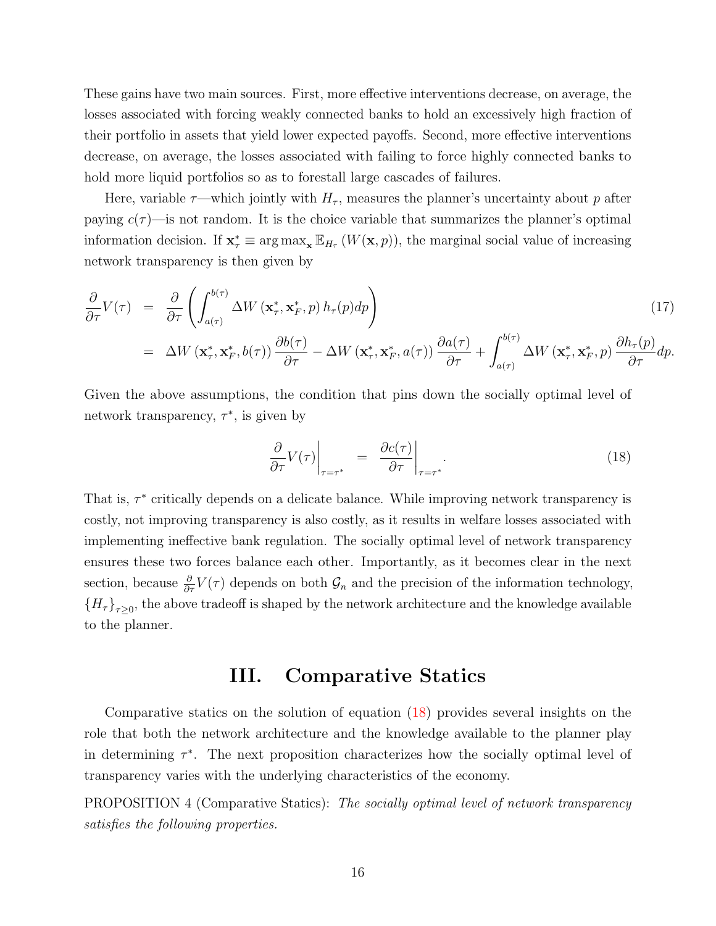These gains have two main sources. First, more effective interventions decrease, on average, the losses associated with forcing weakly connected banks to hold an excessively high fraction of their portfolio in assets that yield lower expected payoffs. Second, more effective interventions decrease, on average, the losses associated with failing to force highly connected banks to hold more liquid portfolios so as to forestall large cascades of failures.

Here, variable  $\tau$ —which jointly with  $H_{\tau}$ , measures the planner's uncertainty about p after paying  $c(\tau)$ —is not random. It is the choice variable that summarizes the planner's optimal information decision. If  $\mathbf{x}_{\tau}^* \equiv \arg \max_{\mathbf{x}} \mathbb{E}_{H_{\tau}}(W(\mathbf{x}, p))$ , the marginal social value of increasing network transparency is then given by

$$
\frac{\partial}{\partial \tau} V(\tau) = \frac{\partial}{\partial \tau} \left( \int_{a(\tau)}^{b(\tau)} \Delta W \left( \mathbf{x}_{\tau}^*, \mathbf{x}_{F}^*, p \right) h_{\tau}(p) dp \right)
$$
\n
$$
= \Delta W \left( \mathbf{x}_{\tau}^*, \mathbf{x}_{F}^*, b(\tau) \right) \frac{\partial b(\tau)}{\partial \tau} - \Delta W \left( \mathbf{x}_{\tau}^*, \mathbf{x}_{F}^*, a(\tau) \right) \frac{\partial a(\tau)}{\partial \tau} + \int_{a(\tau)}^{b(\tau)} \Delta W \left( \mathbf{x}_{\tau}^*, \mathbf{x}_{F}^*, p \right) \frac{\partial h_{\tau}(p)}{\partial \tau} dp.
$$
\n(17)

Given the above assumptions, the condition that pins down the socially optimal level of network transparency,  $\tau^*$ , is given by

<span id="page-15-1"></span>
$$
\left. \frac{\partial}{\partial \tau} V(\tau) \right|_{\tau = \tau^*} = \left. \frac{\partial c(\tau)}{\partial \tau} \right|_{\tau = \tau^*} . \tag{18}
$$

That is,  $\tau^*$  critically depends on a delicate balance. While improving network transparency is costly, not improving transparency is also costly, as it results in welfare losses associated with implementing ineffective bank regulation. The socially optimal level of network transparency ensures these two forces balance each other. Importantly, as it becomes clear in the next section, because  $\frac{\partial}{\partial \tau}V(\tau)$  depends on both  $\mathcal{G}_n$  and the precision of the information technology,  ${H_{\tau}}_{\tau\geq0}$ , the above tradeoff is shaped by the network architecture and the knowledge available to the planner.

### III. Comparative Statics

<span id="page-15-0"></span>Comparative statics on the solution of equation [\(18\)](#page-15-1) provides several insights on the role that both the network architecture and the knowledge available to the planner play in determining  $\tau^*$ . The next proposition characterizes how the socially optimal level of transparency varies with the underlying characteristics of the economy.

<span id="page-15-2"></span>PROPOSITION 4 (Comparative Statics): The socially optimal level of network transparency satisfies the following properties.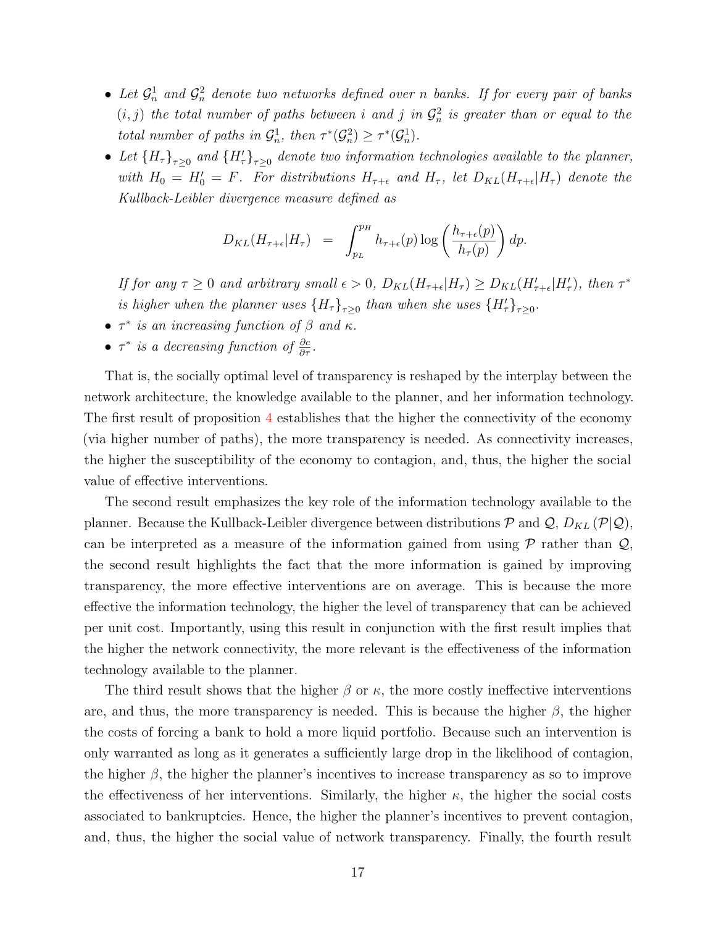- Let  $\mathcal{G}_n^1$  and  $\mathcal{G}_n^2$  denote two networks defined over n banks. If for every pair of banks  $(i, j)$  the total number of paths between i and j in  $\mathcal{G}_n^2$  is greater than or equal to the total number of paths in  $\mathcal{G}_n^1$ , then  $\tau^*(\mathcal{G}_n^2) \geq \tau^*(\mathcal{G}_n^1)$ .
- Let  $(H_{\tau})_{\tau\geq0}$  and  $(H_{\tau}')_{\tau\geq0}$  denote two information technologies available to the planner, with  $H_0 = H_0' = F$ . For distributions  $H_{\tau+\epsilon}$  and  $H_{\tau}$ , let  $D_{KL}(H_{\tau+\epsilon}|H_{\tau})$  denote the Kullback-Leibler divergence measure defined as

$$
D_{KL}(H_{\tau+\epsilon}|H_{\tau}) = \int_{p_L}^{p_H} h_{\tau+\epsilon}(p) \log\left(\frac{h_{\tau+\epsilon}(p)}{h_{\tau}(p)}\right) dp.
$$

If for any  $\tau \geq 0$  and arbitrary small  $\epsilon > 0$ ,  $D_{KL}(H_{\tau+\epsilon}|H_{\tau}) \geq D_{KL}(H_{\tau+\epsilon}'|H_{\tau}')$ , then  $\tau^*$ is higher when the planner uses  $(H_{\tau})_{\tau\geq0}$  than when she uses  $(H'_{\tau})_{\tau\geq0}$ .

- $\tau^*$  is an increasing function of  $\beta$  and  $\kappa$ .
- $\tau^*$  is a decreasing function of  $\frac{\partial c}{\partial \tau}$ .

That is, the socially optimal level of transparency is reshaped by the interplay between the network architecture, the knowledge available to the planner, and her information technology. The first result of proposition [4](#page-15-2) establishes that the higher the connectivity of the economy (via higher number of paths), the more transparency is needed. As connectivity increases, the higher the susceptibility of the economy to contagion, and, thus, the higher the social value of effective interventions.

The second result emphasizes the key role of the information technology available to the planner. Because the Kullback-Leibler divergence between distributions  $P$  and  $Q$ ,  $D_{KL}(P|Q)$ , can be interpreted as a measure of the information gained from using  $P$  rather than  $Q$ , the second result highlights the fact that the more information is gained by improving transparency, the more effective interventions are on average. This is because the more effective the information technology, the higher the level of transparency that can be achieved per unit cost. Importantly, using this result in conjunction with the first result implies that the higher the network connectivity, the more relevant is the effectiveness of the information technology available to the planner.

The third result shows that the higher  $\beta$  or  $\kappa$ , the more costly ineffective interventions are, and thus, the more transparency is needed. This is because the higher  $\beta$ , the higher the costs of forcing a bank to hold a more liquid portfolio. Because such an intervention is only warranted as long as it generates a sufficiently large drop in the likelihood of contagion, the higher  $\beta$ , the higher the planner's incentives to increase transparency as so to improve the effectiveness of her interventions. Similarly, the higher  $\kappa$ , the higher the social costs associated to bankruptcies. Hence, the higher the planner's incentives to prevent contagion, and, thus, the higher the social value of network transparency. Finally, the fourth result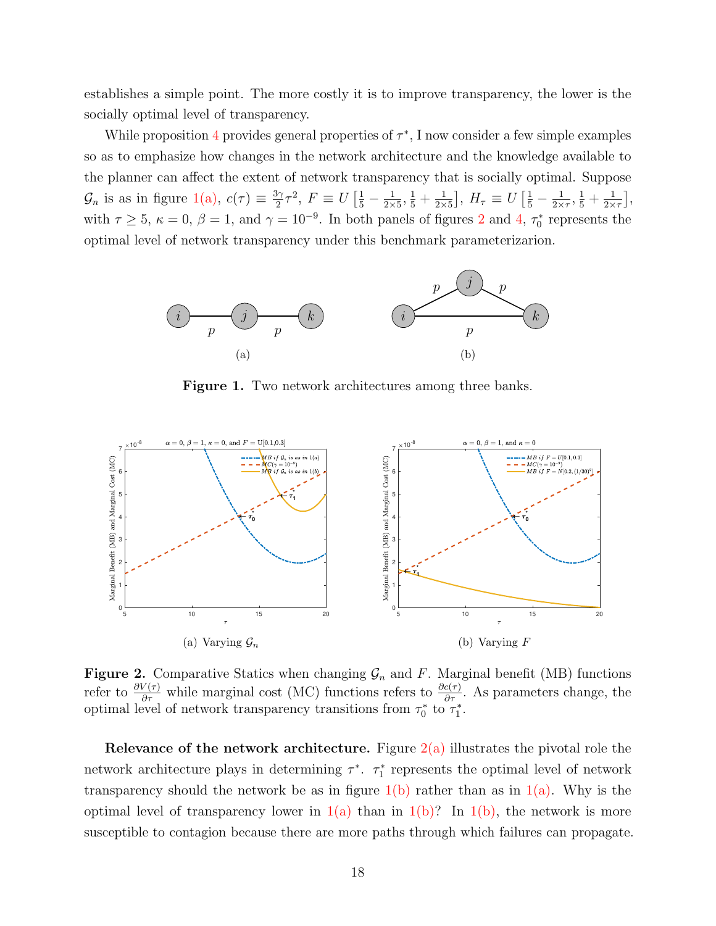establishes a simple point. The more costly it is to improve transparency, the lower is the socially optimal level of transparency.

While proposition [4](#page-15-2) provides general properties of  $\tau^*$ , I now consider a few simple examples so as to emphasize how changes in the network architecture and the knowledge available to the planner can affect the extent of network transparency that is socially optimal. Suppose  $\mathcal{G}_n$  is as in figure [1\(a\),](#page-17-0)  $c(\tau) \equiv \frac{3\gamma}{2}$  $\frac{3\gamma}{2}\tau^2$ ,  $F \equiv U\left[\frac{1}{5} - \frac{1}{2\times 1}\right]$  $\frac{1}{2\times 5}, \frac{1}{5} + \frac{1}{2\times}$  $\frac{1}{2\times 5}$ ,  $H_{\tau} \equiv U \left[ \frac{1}{5} - \frac{1}{2\times 5} \right]$  $\frac{1}{2\times\tau},\frac{1}{5}+\frac{1}{2\times\tau}$  $\frac{1}{2\times\tau}\Big]$ , with  $\tau \ge 5$ ,  $\kappa = 0$ ,  $\beta = 1$ , and  $\gamma = 10^{-9}$ . In both panels of figures [2](#page-17-1) and [4,](#page-19-1)  $\tau_0^*$  represents the optimal level of network transparency under this benchmark parameterizarion.

<span id="page-17-0"></span>

<span id="page-17-3"></span>Figure 1. Two network architectures among three banks.

<span id="page-17-2"></span><span id="page-17-1"></span>

<span id="page-17-4"></span>**Figure 2.** Comparative Statics when changing  $\mathcal{G}_n$  and F. Marginal benefit (MB) functions refer to  $\frac{\partial V(\tau)}{\partial \tau}$  while marginal cost (MC) functions refers to  $\frac{\partial c(\tau)}{\partial \tau}$ . As parameters change, the optimal level of network transparency transitions from  $\tau_0^*$  to  $\tau_1^*$ .

Relevance of the network architecture. Figure  $2(a)$  illustrates the pivotal role the network architecture plays in determining  $\tau^*$ .  $\tau_1^*$  represents the optimal level of network transparency should the network be as in figure  $1(b)$  rather than as in  $1(a)$ . Why is the optimal level of transparency lower in  $1(a)$  than in  $1(b)$ ? In  $1(b)$ , the network is more susceptible to contagion because there are more paths through which failures can propagate.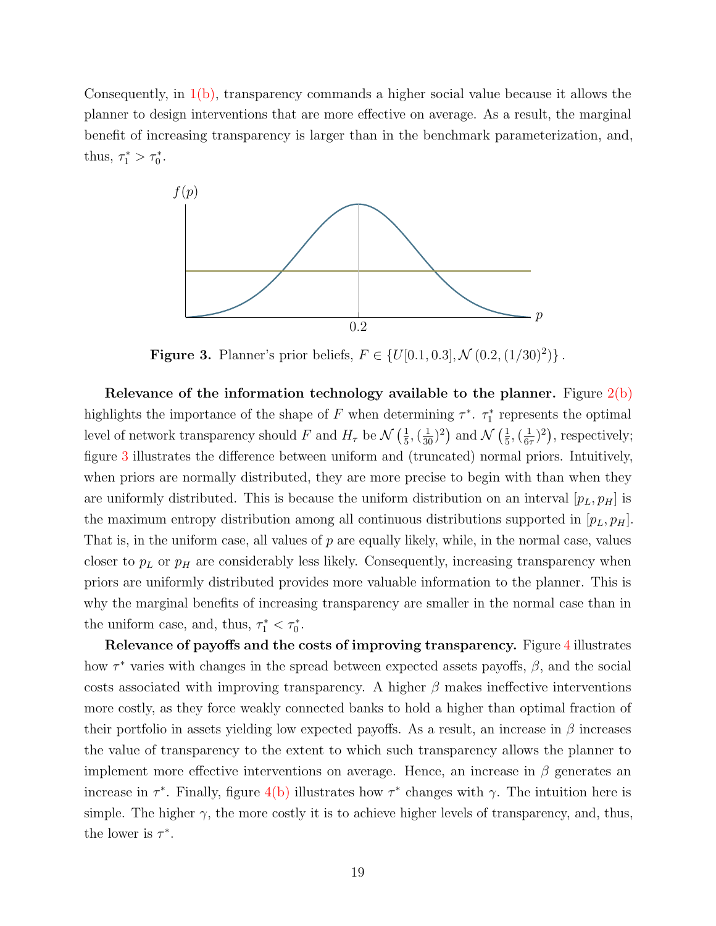Consequently, in [1\(b\),](#page-17-3) transparency commands a higher social value because it allows the planner to design interventions that are more effective on average. As a result, the marginal benefit of increasing transparency is larger than in the benchmark parameterization, and, thus,  $\tau_1^* > \tau_0^*$ .

<span id="page-18-0"></span>

**Figure 3.** Planner's prior beliefs,  $F \in \{U[0.1, 0.3], \mathcal{N}(0.2, (1/30)^2)\}\.$ 

Relevance of the information technology available to the planner. Figure  $2(b)$ highlights the importance of the shape of F when determining  $\tau^*$ .  $\tau_1^*$  represents the optimal level of network transparency should F and  $H_{\tau}$  be  $\mathcal{N}\left(\frac{1}{5}\right)$  $\frac{1}{5}$ ,  $(\frac{1}{30})^2$  and  $\mathcal{N}$   $(\frac{1}{5})$  $\frac{1}{5}, \left(\frac{1}{6},\right)$  $(\frac{1}{6\tau})^2$ , respectively; figure [3](#page-18-0) illustrates the difference between uniform and (truncated) normal priors. Intuitively, when priors are normally distributed, they are more precise to begin with than when they are uniformly distributed. This is because the uniform distribution on an interval  $[p_L, p_H]$  is the maximum entropy distribution among all continuous distributions supported in  $[p_L, p_H]$ . That is, in the uniform case, all values of  $p$  are equally likely, while, in the normal case, values closer to  $p<sub>L</sub>$  or  $p<sub>H</sub>$  are considerably less likely. Consequently, increasing transparency when priors are uniformly distributed provides more valuable information to the planner. This is why the marginal benefits of increasing transparency are smaller in the normal case than in the uniform case, and, thus,  $\tau_1^* < \tau_0^*$ .

Relevance of payoffs and the costs of improving transparency. Figure [4](#page-19-1) illustrates how  $\tau^*$  varies with changes in the spread between expected assets payoffs,  $\beta$ , and the social costs associated with improving transparency. A higher  $\beta$  makes ineffective interventions more costly, as they force weakly connected banks to hold a higher than optimal fraction of their portfolio in assets yielding low expected payoffs. As a result, an increase in  $\beta$  increases the value of transparency to the extent to which such transparency allows the planner to implement more effective interventions on average. Hence, an increase in  $\beta$  generates an increase in  $\tau^*$ . Finally, figure [4\(b\)](#page-19-2) illustrates how  $\tau^*$  changes with  $\gamma$ . The intuition here is simple. The higher  $\gamma$ , the more costly it is to achieve higher levels of transparency, and, thus, the lower is  $\tau^*$ .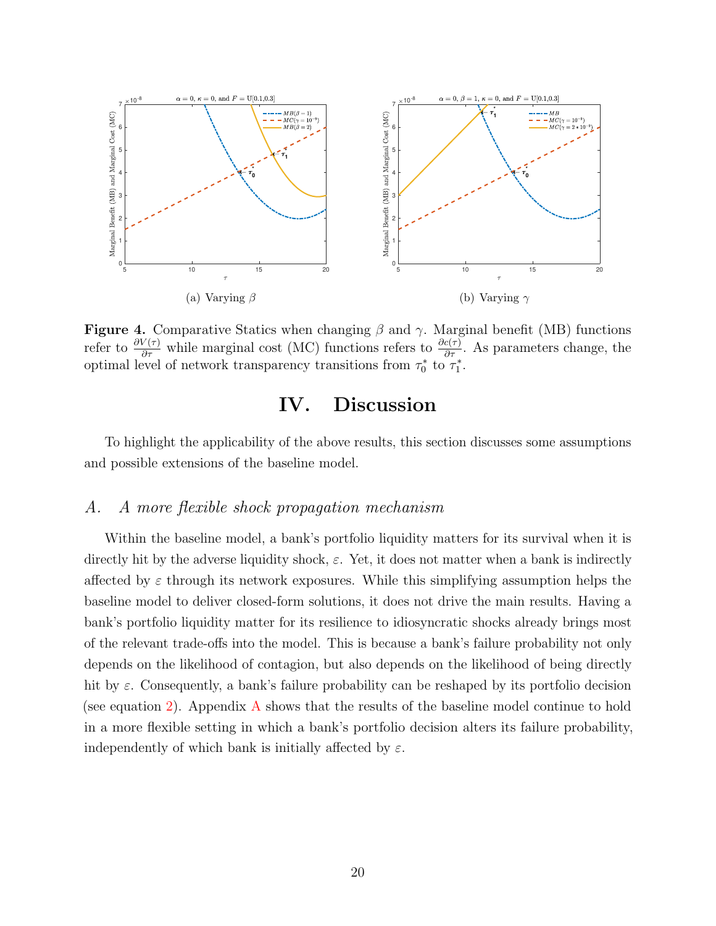<span id="page-19-1"></span>

**Figure 4.** Comparative Statics when changing  $\beta$  and  $\gamma$ . Marginal benefit (MB) functions refer to  $\frac{\partial V(\tau)}{\partial \tau}$  while marginal cost (MC) functions refers to  $\frac{\partial c(\tau)}{\partial \tau}$ . As parameters change, the optimal level of network transparency transitions from  $\tau_0^*$  to  $\tau_1^*$ .

# <span id="page-19-2"></span>IV. Discussion

<span id="page-19-0"></span>To highlight the applicability of the above results, this section discusses some assumptions and possible extensions of the baseline model.

#### A. A more flexible shock propagation mechanism

Within the baseline model, a bank's portfolio liquidity matters for its survival when it is directly hit by the adverse liquidity shock,  $\varepsilon$ . Yet, it does not matter when a bank is indirectly affected by  $\varepsilon$  through its network exposures. While this simplifying assumption helps the baseline model to deliver closed-form solutions, it does not drive the main results. Having a bank's portfolio liquidity matter for its resilience to idiosyncratic shocks already brings most of the relevant trade-offs into the model. This is because a bank's failure probability not only depends on the likelihood of contagion, but also depends on the likelihood of being directly hit by  $\varepsilon$ . Consequently, a bank's failure probability can be reshaped by its portfolio decision (see equation [2\)](#page-7-0). Appendix [A](#page-22-1) shows that the results of the baseline model continue to hold in a more flexible setting in which a bank's portfolio decision alters its failure probability, independently of which bank is initially affected by  $\varepsilon$ .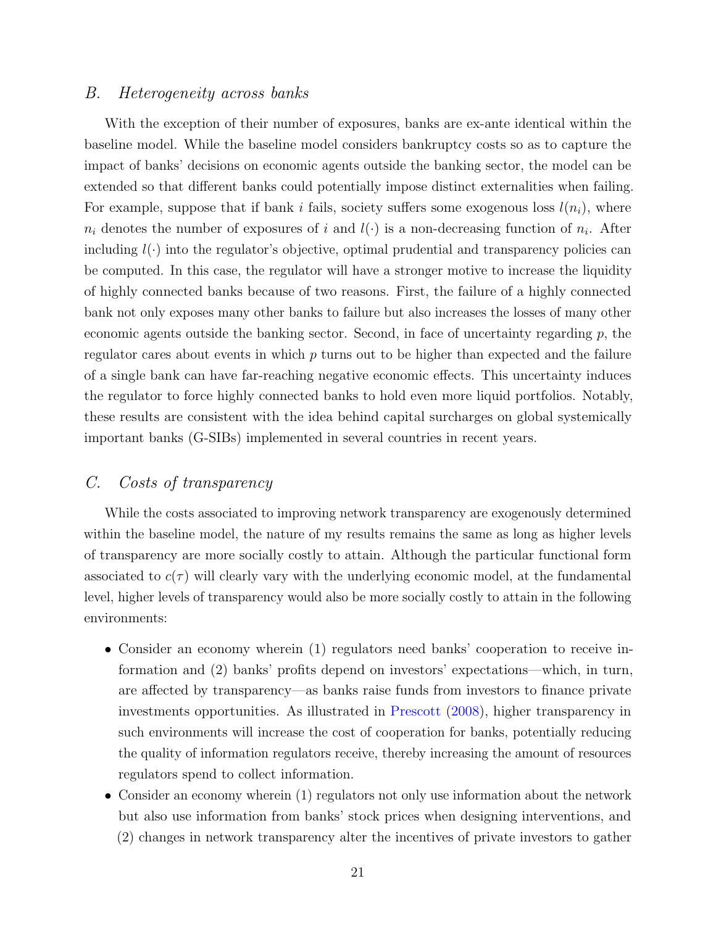#### B. Heterogeneity across banks

With the exception of their number of exposures, banks are ex-ante identical within the baseline model. While the baseline model considers bankruptcy costs so as to capture the impact of banks' decisions on economic agents outside the banking sector, the model can be extended so that different banks could potentially impose distinct externalities when failing. For example, suppose that if bank i fails, society suffers some exogenous loss  $l(n_i)$ , where  $n_i$  denotes the number of exposures of i and  $l(\cdot)$  is a non-decreasing function of  $n_i$ . After including  $l(\cdot)$  into the regulator's objective, optimal prudential and transparency policies can be computed. In this case, the regulator will have a stronger motive to increase the liquidity of highly connected banks because of two reasons. First, the failure of a highly connected bank not only exposes many other banks to failure but also increases the losses of many other economic agents outside the banking sector. Second, in face of uncertainty regarding  $p$ , the regulator cares about events in which p turns out to be higher than expected and the failure of a single bank can have far-reaching negative economic effects. This uncertainty induces the regulator to force highly connected banks to hold even more liquid portfolios. Notably, these results are consistent with the idea behind capital surcharges on global systemically important banks (G-SIBs) implemented in several countries in recent years.

#### C. Costs of transparency

While the costs associated to improving network transparency are exogenously determined within the baseline model, the nature of my results remains the same as long as higher levels of transparency are more socially costly to attain. Although the particular functional form associated to  $c(\tau)$  will clearly vary with the underlying economic model, at the fundamental level, higher levels of transparency would also be more socially costly to attain in the following environments:

- Consider an economy wherein (1) regulators need banks' cooperation to receive information and (2) banks' profits depend on investors' expectations—which, in turn, are affected by transparency—as banks raise funds from investors to finance private investments opportunities. As illustrated in [Prescott](#page-40-8) [\(2008\)](#page-40-8), higher transparency in such environments will increase the cost of cooperation for banks, potentially reducing the quality of information regulators receive, thereby increasing the amount of resources regulators spend to collect information.
- Consider an economy wherein (1) regulators not only use information about the network but also use information from banks' stock prices when designing interventions, and (2) changes in network transparency alter the incentives of private investors to gather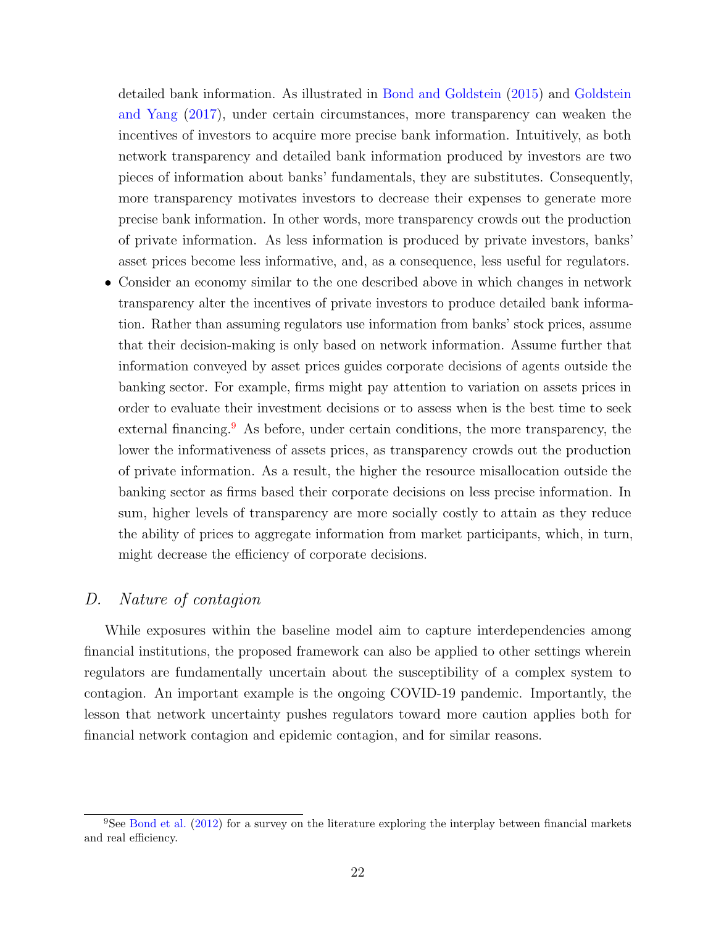detailed bank information. As illustrated in [Bond and Goldstein](#page-37-13) [\(2015\)](#page-37-13) and [Goldstein](#page-39-13) [and Yang](#page-39-13) [\(2017\)](#page-39-13), under certain circumstances, more transparency can weaken the incentives of investors to acquire more precise bank information. Intuitively, as both network transparency and detailed bank information produced by investors are two pieces of information about banks' fundamentals, they are substitutes. Consequently, more transparency motivates investors to decrease their expenses to generate more precise bank information. In other words, more transparency crowds out the production of private information. As less information is produced by private investors, banks' asset prices become less informative, and, as a consequence, less useful for regulators.

• Consider an economy similar to the one described above in which changes in network transparency alter the incentives of private investors to produce detailed bank information. Rather than assuming regulators use information from banks' stock prices, assume that their decision-making is only based on network information. Assume further that information conveyed by asset prices guides corporate decisions of agents outside the banking sector. For example, firms might pay attention to variation on assets prices in order to evaluate their investment decisions or to assess when is the best time to seek external financing.<sup>[9](#page-21-0)</sup> As before, under certain conditions, the more transparency, the lower the informativeness of assets prices, as transparency crowds out the production of private information. As a result, the higher the resource misallocation outside the banking sector as firms based their corporate decisions on less precise information. In sum, higher levels of transparency are more socially costly to attain as they reduce the ability of prices to aggregate information from market participants, which, in turn, might decrease the efficiency of corporate decisions.

### D. Nature of contagion

While exposures within the baseline model aim to capture interdependencies among financial institutions, the proposed framework can also be applied to other settings wherein regulators are fundamentally uncertain about the susceptibility of a complex system to contagion. An important example is the ongoing COVID-19 pandemic. Importantly, the lesson that network uncertainty pushes regulators toward more caution applies both for financial network contagion and epidemic contagion, and for similar reasons.

<span id="page-21-0"></span><sup>9</sup>See [Bond et al.](#page-37-14) [\(2012\)](#page-37-14) for a survey on the literature exploring the interplay between financial markets and real efficiency.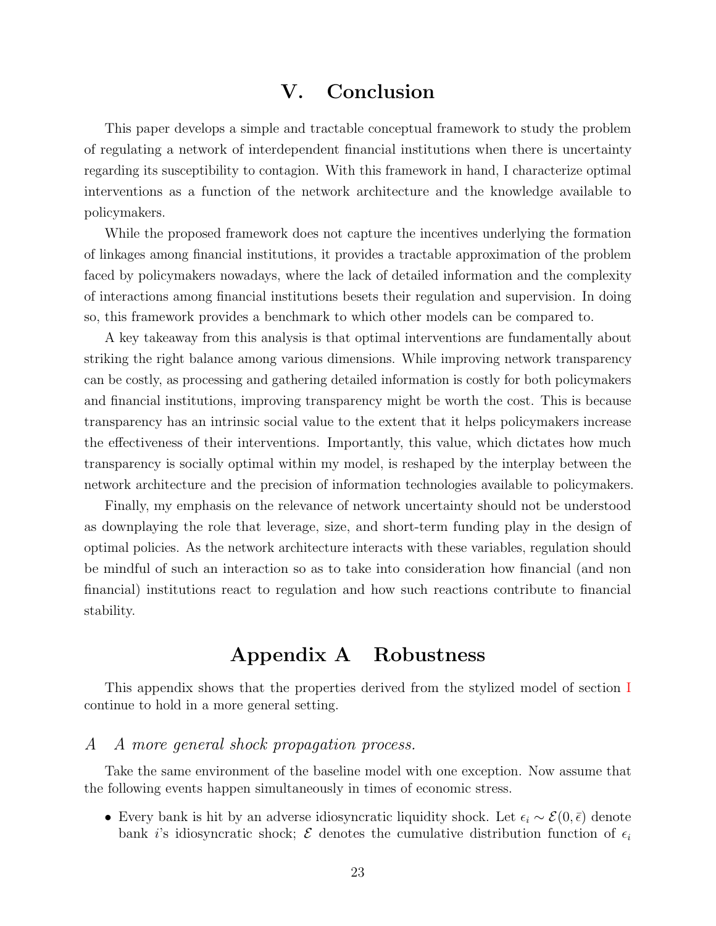# V. Conclusion

<span id="page-22-0"></span>This paper develops a simple and tractable conceptual framework to study the problem of regulating a network of interdependent financial institutions when there is uncertainty regarding its susceptibility to contagion. With this framework in hand, I characterize optimal interventions as a function of the network architecture and the knowledge available to policymakers.

While the proposed framework does not capture the incentives underlying the formation of linkages among financial institutions, it provides a tractable approximation of the problem faced by policymakers nowadays, where the lack of detailed information and the complexity of interactions among financial institutions besets their regulation and supervision. In doing so, this framework provides a benchmark to which other models can be compared to.

A key takeaway from this analysis is that optimal interventions are fundamentally about striking the right balance among various dimensions. While improving network transparency can be costly, as processing and gathering detailed information is costly for both policymakers and financial institutions, improving transparency might be worth the cost. This is because transparency has an intrinsic social value to the extent that it helps policymakers increase the effectiveness of their interventions. Importantly, this value, which dictates how much transparency is socially optimal within my model, is reshaped by the interplay between the network architecture and the precision of information technologies available to policymakers.

Finally, my emphasis on the relevance of network uncertainty should not be understood as downplaying the role that leverage, size, and short-term funding play in the design of optimal policies. As the network architecture interacts with these variables, regulation should be mindful of such an interaction so as to take into consideration how financial (and non financial) institutions react to regulation and how such reactions contribute to financial stability.

# Appendix A Robustness

<span id="page-22-1"></span>This appendix shows that the properties derived from the stylized model of section [I](#page-5-0) continue to hold in a more general setting.

#### A A more general shock propagation process.

Take the same environment of the baseline model with one exception. Now assume that the following events happen simultaneously in times of economic stress.

• Every bank is hit by an adverse idiosyncratic liquidity shock. Let  $\epsilon_i \sim \mathcal{E}(0,\bar{\epsilon})$  denote bank i's idiosyncratic shock;  $\mathcal E$  denotes the cumulative distribution function of  $\epsilon_i$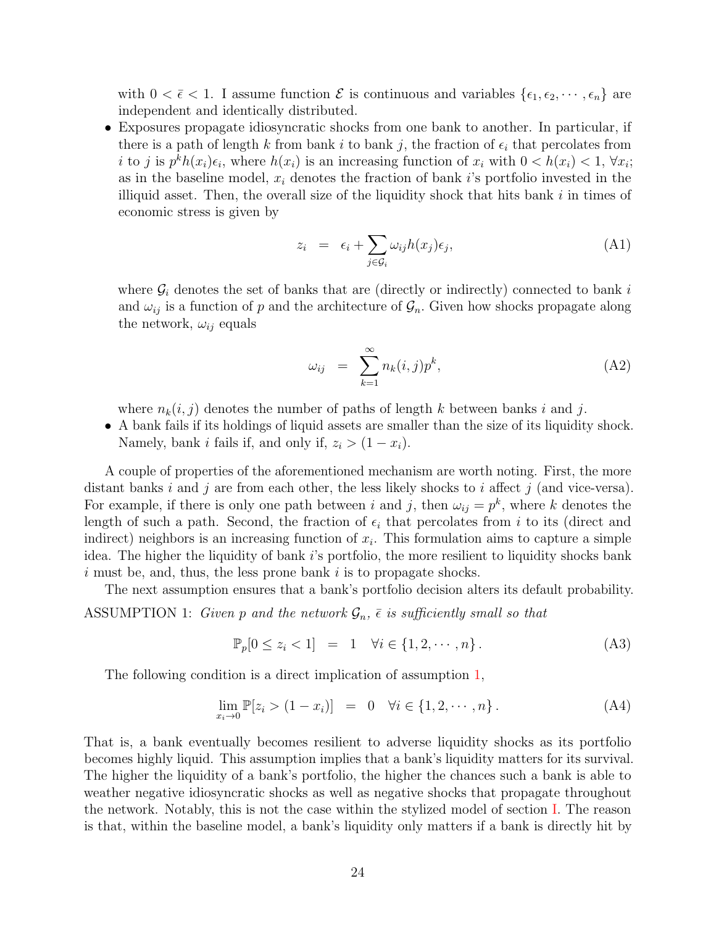with  $0 < \bar{\epsilon} < 1$ . I assume function  $\mathcal E$  is continuous and variables  $\{\epsilon_1, \epsilon_2, \cdots, \epsilon_n\}$  are independent and identically distributed.

• Exposures propagate idiosyncratic shocks from one bank to another. In particular, if there is a path of length k from bank i to bank j, the fraction of  $\epsilon_i$  that percolates from i to j is  $p^k h(x_i) \epsilon_i$ , where  $h(x_i)$  is an increasing function of  $x_i$  with  $0 < h(x_i) < 1$ ,  $\forall x_i$ ; as in the baseline model,  $x_i$  denotes the fraction of bank i's portfolio invested in the illiquid asset. Then, the overall size of the liquidity shock that hits bank  $i$  in times of economic stress is given by

$$
z_i = \epsilon_i + \sum_{j \in \mathcal{G}_i} \omega_{ij} h(x_j) \epsilon_j,
$$
\n(A1)

where  $\mathcal{G}_i$  denotes the set of banks that are (directly or indirectly) connected to bank i and  $\omega_{ij}$  is a function of p and the architecture of  $\mathcal{G}_n$ . Given how shocks propagate along the network,  $\omega_{ij}$  equals

<span id="page-23-1"></span>
$$
\omega_{ij} = \sum_{k=1}^{\infty} n_k(i,j) p^k, \qquad (A2)
$$

where  $n_k(i, j)$  denotes the number of paths of length k between banks i and j.

• A bank fails if its holdings of liquid assets are smaller than the size of its liquidity shock. Namely, bank *i* fails if, and only if,  $z_i > (1 - x_i)$ .

A couple of properties of the aforementioned mechanism are worth noting. First, the more distant banks i and j are from each other, the less likely shocks to i affect j (and vice-versa). For example, if there is only one path between i and j, then  $\omega_{ij} = p^k$ , where k denotes the length of such a path. Second, the fraction of  $\epsilon_i$  that percolates from i to its (direct and indirect) neighbors is an increasing function of  $x_i$ . This formulation aims to capture a simple idea. The higher the liquidity of bank  $i$ 's portfolio, the more resilient to liquidity shocks bank  $i$  must be, and, thus, the less prone bank  $i$  is to propagate shocks.

The next assumption ensures that a bank's portfolio decision alters its default probability.

<span id="page-23-0"></span>ASSUMPTION 1: Given p and the network  $\mathcal{G}_n$ ,  $\overline{\epsilon}$  is sufficiently small so that

$$
\mathbb{P}_p[0 \le z_i < 1] = 1 \quad \forall i \in \{1, 2, \cdots, n\} \,. \tag{A3}
$$

The following condition is a direct implication of assumption [1,](#page-23-0)

$$
\lim_{x_i \to 0} \mathbb{P}[z_i > (1 - x_i)] = 0 \quad \forall i \in \{1, 2, \cdots, n\}.
$$
 (A4)

That is, a bank eventually becomes resilient to adverse liquidity shocks as its portfolio becomes highly liquid. This assumption implies that a bank's liquidity matters for its survival. The higher the liquidity of a bank's portfolio, the higher the chances such a bank is able to weather negative idiosyncratic shocks as well as negative shocks that propagate throughout the network. Notably, this is not the case within the stylized model of section [I.](#page-5-0) The reason is that, within the baseline model, a bank's liquidity only matters if a bank is directly hit by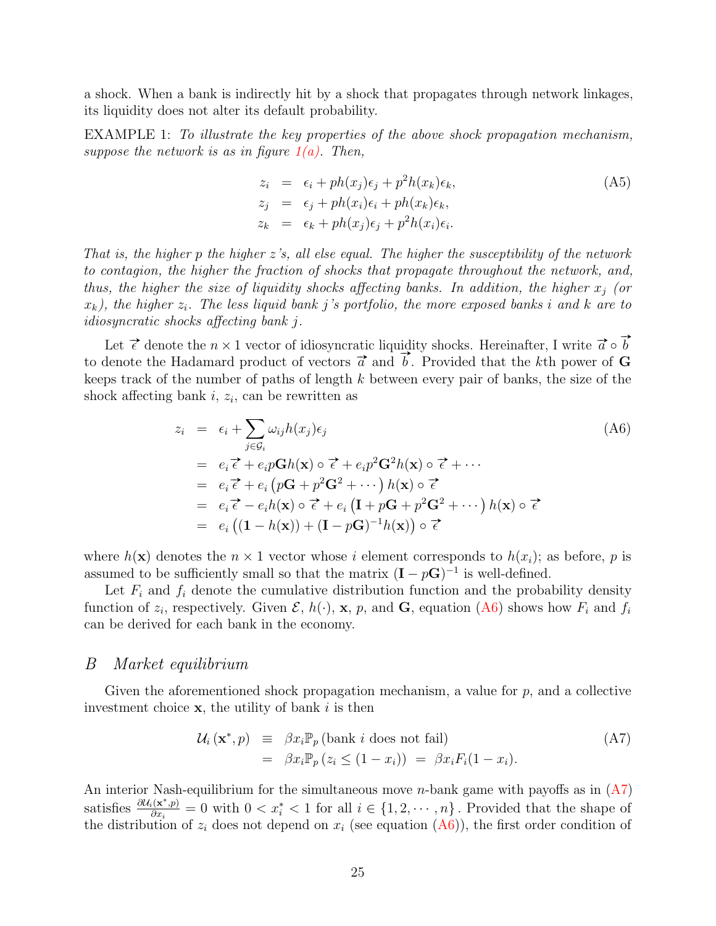a shock. When a bank is indirectly hit by a shock that propagates through network linkages, its liquidity does not alter its default probability.

EXAMPLE 1: To illustrate the key properties of the above shock propagation mechanism, suppose the network is as in figure  $1(a)$ . Then,

$$
z_i = \epsilon_i + ph(x_j)\epsilon_j + p^2h(x_k)\epsilon_k,
$$
  
\n
$$
z_j = \epsilon_j + ph(x_i)\epsilon_i + ph(x_k)\epsilon_k,
$$
  
\n
$$
z_k = \epsilon_k + ph(x_j)\epsilon_j + p^2h(x_i)\epsilon_i.
$$
\n(A5)

That is, the higher p the higher  $z$ 's, all else equal. The higher the susceptibility of the network to contagion, the higher the fraction of shocks that propagate throughout the network, and, thus, the higher the size of liquidity shocks affecting banks. In addition, the higher  $x_i$  (or  $x_k$ ), the higher  $z_i$ . The less liquid bank j's portfolio, the more exposed banks i and k are to idiosyncratic shocks affecting bank j.

Let  $\vec{\epsilon}$  denote the  $n \times 1$  vector of idiosyncratic liquidity shocks. Hereinafter, I write  $\vec{a} \circ \vec{b}$ to denote the Hadamard product of vectors  $\vec{a}$  and  $\vec{b}$ . Provided that the kth power of G keeps track of the number of paths of length k between every pair of banks, the size of the shock affecting bank  $i, z_i$ , can be rewritten as

<span id="page-24-0"></span>
$$
z_i = \epsilon_i + \sum_{j \in \mathcal{G}_i} \omega_{ij} h(x_j) \epsilon_j
$$
\n
$$
= e_i \vec{\epsilon} + e_i p \mathbf{G} h(\mathbf{x}) \circ \vec{\epsilon} + e_i p^2 \mathbf{G}^2 h(\mathbf{x}) \circ \vec{\epsilon} + \cdots
$$
\n
$$
= e_i \vec{\epsilon} + e_i (p \mathbf{G} + p^2 \mathbf{G}^2 + \cdots) h(\mathbf{x}) \circ \vec{\epsilon}
$$
\n
$$
= e_i \vec{\epsilon} - e_i h(\mathbf{x}) \circ \vec{\epsilon} + e_i (\mathbf{I} + p \mathbf{G} + p^2 \mathbf{G}^2 + \cdots) h(\mathbf{x}) \circ \vec{\epsilon}
$$
\n
$$
= e_i ((\mathbf{I} - h(\mathbf{x})) + (\mathbf{I} - p \mathbf{G})^{-1} h(\mathbf{x})) \circ \vec{\epsilon}
$$
\n
$$
(A6)
$$

where  $h(\mathbf{x})$  denotes the  $n \times 1$  vector whose i element corresponds to  $h(x_i)$ ; as before, p is assumed to be sufficiently small so that the matrix  $(I - pG)^{-1}$  is well-defined.

Let  $F_i$  and  $f_i$  denote the cumulative distribution function and the probability density function of  $z_i$ , respectively. Given  $\mathcal{E}$ ,  $h(\cdot)$ , **x**,  $p$ , and **G**, equation [\(A6\)](#page-24-0) shows how  $F_i$  and  $f_i$ can be derived for each bank in the economy.

#### B Market equilibrium

Given the aforementioned shock propagation mechanism, a value for  $p$ , and a collective investment choice  $x$ , the utility of bank i is then

<span id="page-24-1"></span>
$$
\mathcal{U}_i(\mathbf{x}^*, p) \equiv \beta x_i \mathbb{P}_p \text{ (bank } i \text{ does not fail)}
$$
\n
$$
= \beta x_i \mathbb{P}_p \left( z_i \le (1 - x_i) \right) = \beta x_i F_i (1 - x_i). \tag{A7}
$$

An interior Nash-equilibrium for the simultaneous move *n*-bank game with payoffs as in  $(A7)$ satisfies  $\frac{\partial \mathcal{U}_i(\mathbf{x}^*, p)}{\partial x}$  $\frac{i(\mathbf{x}^*,p)}{\partial x_i} = 0$  with  $0 < x_i^* < 1$  for all  $i \in \{1, 2, \cdots, n\}$ . Provided that the shape of the distribution of  $z_i$  does not depend on  $x_i$  (see equation  $(A6)$ ), the first order condition of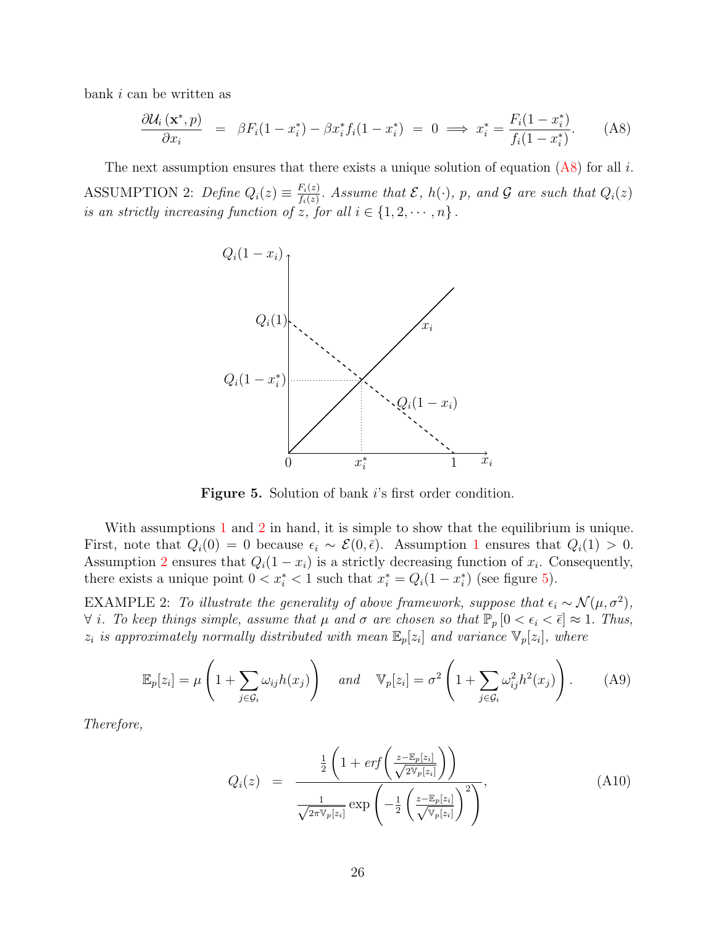bank i can be written as

<span id="page-25-0"></span>
$$
\frac{\partial \mathcal{U}_i\left(\mathbf{x}^*,p\right)}{\partial x_i} = \beta F_i(1-x_i^*) - \beta x_i^* f_i(1-x_i^*) = 0 \implies x_i^* = \frac{F_i(1-x_i^*)}{f_i(1-x_i^*)}. \tag{A8}
$$

<span id="page-25-2"></span><span id="page-25-1"></span>The next assumption ensures that there exists a unique solution of equation  $(A8)$  for all i. ASSUMPTION 2: Define  $Q_i(z) \equiv \frac{F_i(z)}{f_i(z)}$  $\frac{f_i(z)}{f_i(z)}$ . Assume that  $\mathcal{E}, h(\cdot), p$ , and  $\mathcal{G}$  are such that  $Q_i(z)$ is an strictly increasing function of z, for all  $i \in \{1, 2, \dots, n\}$ .



Figure 5. Solution of bank i's first order condition.

With assumptions [1](#page-23-0) and [2](#page-25-1) in hand, it is simple to show that the equilibrium is unique. First, note that  $Q_i(0) = 0$  because  $\epsilon_i \sim \mathcal{E}(0,\bar{\epsilon})$ . Assumption [1](#page-23-0) ensures that  $Q_i(1) > 0$ . Assumption [2](#page-25-1) ensures that  $Q_i(1-x_i)$  is a strictly decreasing function of  $x_i$ . Consequently, there exists a unique point  $0 < x_i^* < 1$  such that  $x_i^* = Q_i(1 - x_i^*)$  (see figure [5\)](#page-25-2).

<span id="page-25-4"></span>EXAMPLE 2: To illustrate the generality of above framework, suppose that  $\epsilon_i \sim \mathcal{N}(\mu, \sigma^2)$ ,  $\forall i$ . To keep things simple, assume that  $\mu$  and  $\sigma$  are chosen so that  $\mathbb{P}_p$   $[0 < \epsilon_i < \bar{\epsilon}] \approx 1$ . Thus,  $z_i$  is approximately normally distributed with mean  $\mathbb{E}_p[z_i]$  and variance  $\mathbb{V}_p[z_i]$ , where

$$
\mathbb{E}_p[z_i] = \mu \left( 1 + \sum_{j \in \mathcal{G}_i} \omega_{ij} h(x_j) \right) \quad and \quad \mathbb{V}_p[z_i] = \sigma^2 \left( 1 + \sum_{j \in \mathcal{G}_i} \omega_{ij}^2 h^2(x_j) \right). \tag{A9}
$$

Therefore,

<span id="page-25-3"></span>
$$
Q_i(z) = \frac{\frac{1}{2} \left( 1 + erf\left(\frac{z - \mathbb{E}_p[z_i]}{\sqrt{2 \mathbb{V}_p[z_i]}}\right) \right)}{\frac{1}{\sqrt{2 \pi \mathbb{V}_p[z_i]}} exp\left(-\frac{1}{2} \left(\frac{z - \mathbb{E}_p[z_i]}{\sqrt{\mathbb{V}_p[z_i]}}\right)^2\right)},
$$
(A10)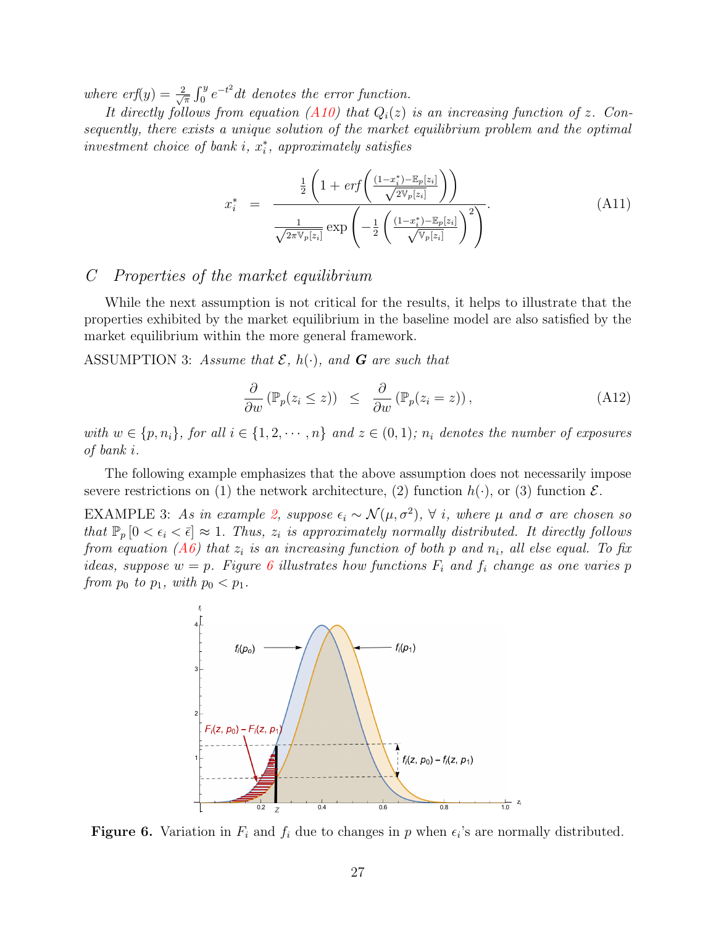where  $erf(y) = \frac{2}{\sqrt{2}}$  $\frac{d}{dt} \int_0^y e^{-t^2} dt$  denotes the error function.

It directly follows from equation [\(A10\)](#page-25-3) that  $Q_i(z)$  is an increasing function of z. Consequently, there exists a unique solution of the market equilibrium problem and the optimal  $investment$  choice of bank  $i, x_i^*$ , approximately satisfies

$$
x_{i}^{*} = \frac{\frac{1}{2} \left( 1 + erf\left(\frac{(1-x_{i}^{*}) - \mathbb{E}_{p}[z_{i}]}{\sqrt{2 \mathbb{V}_{p}[z_{i}]}}\right) \right)}{\frac{1}{\sqrt{2 \pi \mathbb{V}_{p}[z_{i}]}} exp\left(-\frac{1}{2} \left(\frac{(1-x_{i}^{*}) - \mathbb{E}_{p}[z_{i}]}{\sqrt{\mathbb{V}_{p}[z_{i}]}}\right)^{2}\right)}.
$$
(A11)

#### C Properties of the market equilibrium

While the next assumption is not critical for the results, it helps to illustrate that the properties exhibited by the market equilibrium in the baseline model are also satisfied by the market equilibrium within the more general framework.

<span id="page-26-1"></span>ASSUMPTION 3: Assume that  $\mathcal{E}$ ,  $h(\cdot)$ , and **G** are such that

$$
\frac{\partial}{\partial w} \left( \mathbb{P}_p(z_i \le z) \right) \le \frac{\partial}{\partial w} \left( \mathbb{P}_p(z_i = z) \right), \tag{A12}
$$

with  $w \in \{p, n_i\}$ , for all  $i \in \{1, 2, \dots, n\}$  and  $z \in (0, 1)$ ;  $n_i$  denotes the number of exposures of bank i.

The following example emphasizes that the above assumption does not necessarily impose severe restrictions on (1) the network architecture, (2) function  $h(\cdot)$ , or (3) function  $\mathcal{E}$ .

<span id="page-26-0"></span>EXAMPLE 3: As in example [2,](#page-25-4) suppose  $\epsilon_i \sim \mathcal{N}(\mu, \sigma^2)$ ,  $\forall$  i, where  $\mu$  and  $\sigma$  are chosen so that  $\mathbb{P}_p$   $[0 < \epsilon_i < \bar{\epsilon}] \approx 1$ . Thus,  $z_i$  is approximately normally distributed. It directly follows from equation [\(A6\)](#page-24-0) that  $z_i$  is an increasing function of both p and  $n_i$ , all else equal. To fix ideas, suppose  $w = p$ . Figure [6](#page-26-0) illustrates how functions  $F_i$  and  $f_i$  change as one varies p from  $p_0$  to  $p_1$ , with  $p_0 < p_1$ .



**Figure 6.** Variation in  $F_i$  and  $f_i$  due to changes in p when  $\epsilon_i$ 's are normally distributed.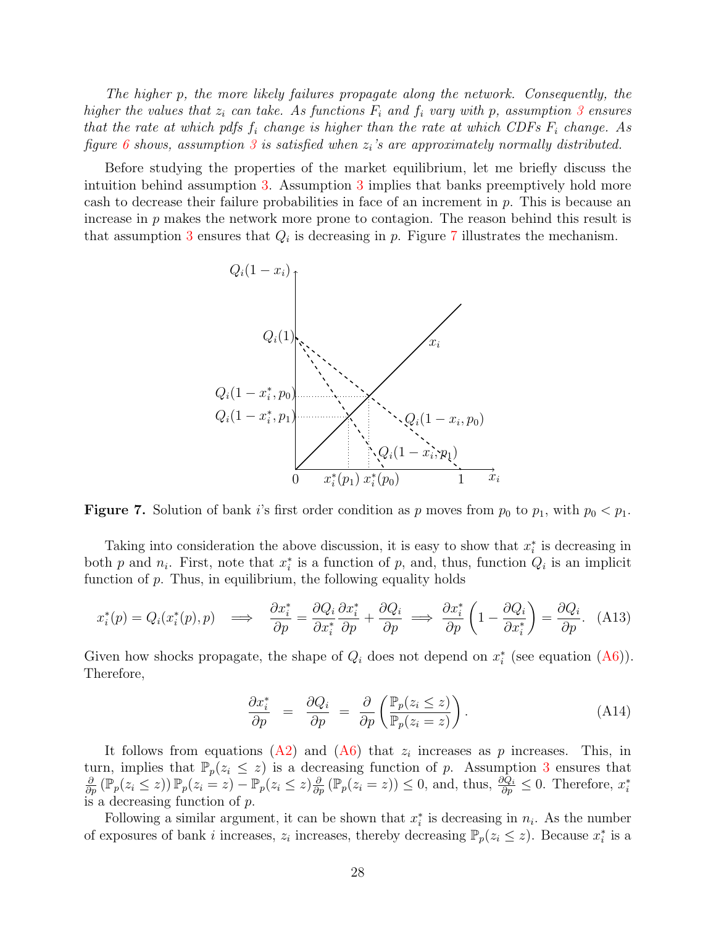The higher p, the more likely failures propagate along the network. Consequently, the higher the values that  $z_i$  can take. As functions  $F_i$  and  $f_i$  vary with p, assumption [3](#page-26-1) ensures that the rate at which pdfs  $f_i$  change is higher than the rate at which CDFs  $F_i$  change. As figure [6](#page-26-0) shows, assumption [3](#page-26-1) is satisfied when  $z_i$ 's are approximately normally distributed.

<span id="page-27-0"></span>Before studying the properties of the market equilibrium, let me briefly discuss the intuition behind assumption [3.](#page-26-1) Assumption [3](#page-26-1) implies that banks preemptively hold more cash to decrease their failure probabilities in face of an increment in  $p$ . This is because an increase in  $p$  makes the network more prone to contagion. The reason behind this result is that assumption [3](#page-26-1) ensures that  $Q_i$  is decreasing in p. Figure [7](#page-27-0) illustrates the mechanism.



**Figure 7.** Solution of bank i's first order condition as p moves from  $p_0$  to  $p_1$ , with  $p_0 < p_1$ .

Taking into consideration the above discussion, it is easy to show that  $x_i^*$  is decreasing in both p and  $n_i$ . First, note that  $x_i^*$  is a function of p, and, thus, function  $Q_i$  is an implicit function of  $p$ . Thus, in equilibrium, the following equality holds

$$
x_i^*(p) = Q_i(x_i^*(p), p) \implies \frac{\partial x_i^*}{\partial p} = \frac{\partial Q_i}{\partial x_i^*} \frac{\partial x_i^*}{\partial p} + \frac{\partial Q_i}{\partial p} \implies \frac{\partial x_i^*}{\partial p} \left(1 - \frac{\partial Q_i}{\partial x_i^*}\right) = \frac{\partial Q_i}{\partial p}. \tag{A13}
$$

Given how shocks propagate, the shape of  $Q_i$  does not depend on  $x_i^*$  (see equation [\(A6\)](#page-24-0)). Therefore,

$$
\frac{\partial x_i^*}{\partial p} = \frac{\partial Q_i}{\partial p} = \frac{\partial}{\partial p} \left( \frac{\mathbb{P}_p(z_i \le z)}{\mathbb{P}_p(z_i = z)} \right).
$$
\n(A14)

It follows from equations [\(A2\)](#page-23-1) and [\(A6\)](#page-24-0) that  $z_i$  increases as p increases. This, in turn, implies that  $\mathbb{P}_p(z_i \leq z)$  is a decreasing function of p. Assumption [3](#page-26-1) ensures that  $\frac{\partial}{\partial p}(\mathbb{P}_p(z_i \leq z)) \mathbb{P}_p(z_i = z) - \mathbb{P}_p(z_i \leq z) \frac{\partial}{\partial p}(\mathbb{P}_p(z_i = z)) \leq 0$ , and, thus,  $\frac{\partial Q_i}{\partial p} \leq 0$ . Therefore,  $x_i^*$ is a decreasing function of  $p$ .

Following a similar argument, it can be shown that  $x_i^*$  is decreasing in  $n_i$ . As the number of exposures of bank i increases,  $z_i$  increases, thereby decreasing  $\mathbb{P}_p(z_i \leq z)$ . Because  $x_i^*$  is a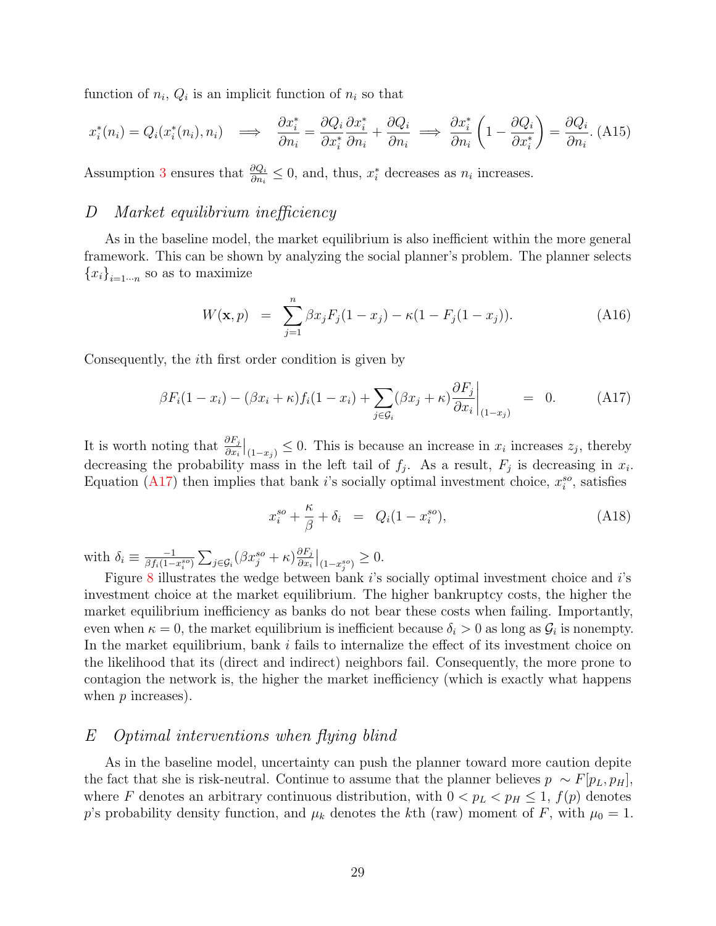function of  $n_i$ ,  $Q_i$  is an implicit function of  $n_i$  so that

$$
x_i^*(n_i) = Q_i(x_i^*(n_i), n_i) \implies \frac{\partial x_i^*}{\partial n_i} = \frac{\partial Q_i}{\partial x_i^*} \frac{\partial x_i^*}{\partial n_i} + \frac{\partial Q_i}{\partial n_i} \implies \frac{\partial x_i^*}{\partial n_i} \left(1 - \frac{\partial Q_i}{\partial x_i^*}\right) = \frac{\partial Q_i}{\partial n_i}.\tag{A15}
$$

Assumption [3](#page-26-1) ensures that  $\frac{\partial Q_i}{\partial n_i} \leq 0$ , and, thus,  $x_i^*$  decreases as  $n_i$  increases.

#### D Market equilibrium inefficiency

As in the baseline model, the market equilibrium is also inefficient within the more general framework. This can be shown by analyzing the social planner's problem. The planner selects  ${x_i}_{i=1\cdots n}$  so as to maximize

$$
W(\mathbf{x}, p) = \sum_{j=1}^{n} \beta x_j F_j (1 - x_j) - \kappa (1 - F_j (1 - x_j)). \tag{A16}
$$

Consequently, the ith first order condition is given by

<span id="page-28-0"></span>
$$
\beta F_i(1 - x_i) - (\beta x_i + \kappa) f_i(1 - x_i) + \sum_{j \in \mathcal{G}_i} (\beta x_j + \kappa) \frac{\partial F_j}{\partial x_i}\Big|_{(1 - x_j)} = 0. \tag{A17}
$$

It is worth noting that  $\frac{\partial F_j}{\partial x_i}\Big|_{(1-x_j)} \leq 0$ . This is because an increase in  $x_i$  increases  $z_j$ , thereby decreasing the probability mass in the left tail of  $f_j$ . As a result,  $F_j$  is decreasing in  $x_i$ . Equation [\(A17\)](#page-28-0) then implies that bank i's socially optimal investment choice,  $x_i^{so}$ , satisfies

<span id="page-28-1"></span>
$$
x_i^{so} + \frac{\kappa}{\beta} + \delta_i = Q_i(1 - x_i^{so}), \tag{A18}
$$

with  $\delta_i \equiv \frac{-1}{\beta f_i(1-\beta)}$  $\frac{-1}{\beta f_i(1-x_i^{so})}\sum_{j\in\mathcal{G}_i}(\beta x_j^{so}+\kappa)\frac{\partial F_j}{\partial x_i}$  $\frac{\partial F_j}{\partial x_i}\Big|_{(1-x_j^{so})} \geq 0.$ 

Figure [8](#page-29-0) illustrates the wedge between bank  $i$ 's socially optimal investment choice and  $i$ 's investment choice at the market equilibrium. The higher bankruptcy costs, the higher the market equilibrium inefficiency as banks do not bear these costs when failing. Importantly, even when  $\kappa = 0$ , the market equilibrium is inefficient because  $\delta_i > 0$  as long as  $\mathcal{G}_i$  is nonempty. In the market equilibrium, bank  $i$  fails to internalize the effect of its investment choice on the likelihood that its (direct and indirect) neighbors fail. Consequently, the more prone to contagion the network is, the higher the market inefficiency (which is exactly what happens when *p* increases).

#### E Optimal interventions when flying blind

As in the baseline model, uncertainty can push the planner toward more caution depite the fact that she is risk-neutral. Continue to assume that the planner believes  $p \sim F[p_L, p_H]$ , where F denotes an arbitrary continuous distribution, with  $0 < p_L < p_H \le 1$ ,  $f(p)$  denotes p's probability density function, and  $\mu_k$  denotes the kth (raw) moment of F, with  $\mu_0 = 1$ .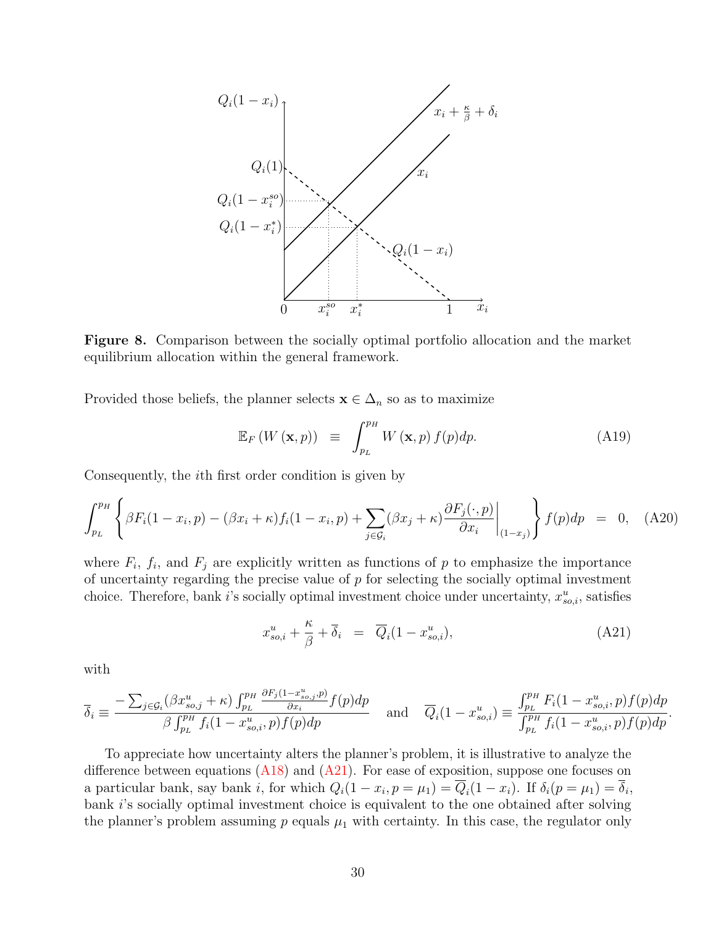<span id="page-29-0"></span>

Figure 8. Comparison between the socially optimal portfolio allocation and the market equilibrium allocation within the general framework.

Provided those beliefs, the planner selects  $\mathbf{x} \in \Delta_n$  so as to maximize

$$
\mathbb{E}_F\left(W\left(\mathbf{x},p\right)\right) \equiv \int_{p_L}^{p_H} W\left(\mathbf{x},p\right) f(p) dp. \tag{A19}
$$

Consequently, the ith first order condition is given by

$$
\int_{p_L}^{p_H} \left\{ \beta F_i (1 - x_i, p) - (\beta x_i + \kappa) f_i (1 - x_i, p) + \sum_{j \in \mathcal{G}_i} (\beta x_j + \kappa) \frac{\partial F_j(\cdot, p)}{\partial x_i} \bigg|_{(1 - x_j)} \right\} f(p) dp = 0, \quad (A20)
$$

where  $F_i$ ,  $f_i$ , and  $F_j$  are explicitly written as functions of p to emphasize the importance of uncertainty regarding the precise value of  $p$  for selecting the socially optimal investment choice. Therefore, bank i's socially optimal investment choice under uncertainty,  $x_{so,i}^u$ , satisfies

<span id="page-29-1"></span>
$$
x_{so,i}^u + \frac{\kappa}{\beta} + \overline{\delta}_i = \overline{Q}_i (1 - x_{so,i}^u), \tag{A21}
$$

with

$$
\overline{\delta}_{i} \equiv \frac{-\sum_{j \in \mathcal{G}_{i}} (\beta x_{so,j}^{u} + \kappa) \int_{p_{L}}^{p_{H}} \frac{\partial F_{j}(1 - x_{so,j}^{u}, p)}{\partial x_{i}} f(p) dp}{\beta \int_{p_{L}}^{p_{H}} f_{i}(1 - x_{so,i}^{u}, p) f(p) dp} \quad \text{and} \quad \overline{Q}_{i}(1 - x_{so,i}^{u}) \equiv \frac{\int_{p_{L}}^{p_{H}} F_{i}(1 - x_{so,i}^{u}, p) f(p) dp}{\int_{p_{L}}^{p_{H}} f_{i}(1 - x_{so,i}^{u}, p) f(p) dp}.
$$

To appreciate how uncertainty alters the planner's problem, it is illustrative to analyze the difference between equations  $(A18)$  and  $(A21)$ . For ease of exposition, suppose one focuses on a particular bank, say bank *i*, for which  $Q_i(1-x_i, p=\mu_1) = Q_i(1-x_i)$ . If  $\delta_i(p=\mu_1) = \delta_i$ , bank i's socially optimal investment choice is equivalent to the one obtained after solving the planner's problem assuming  $p$  equals  $\mu_1$  with certainty. In this case, the regulator only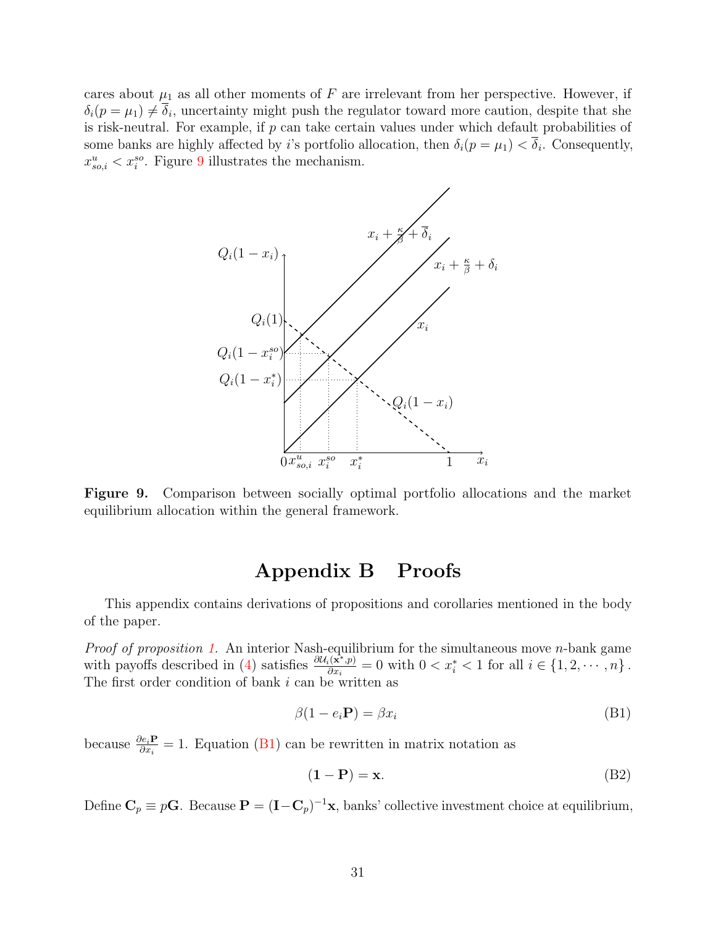<span id="page-30-0"></span>cares about  $\mu_1$  as all other moments of F are irrelevant from her perspective. However, if  $\delta_i(p = \mu_1) \neq \delta_i$ , uncertainty might push the regulator toward more caution, despite that she is risk-neutral. For example, if  $p$  can take certain values under which default probabilities of some banks are highly affected by *i*'s portfolio allocation, then  $\delta_i(p = \mu_1) < \delta_i$ . Consequently,  $x_{so,i}^u < x_i^{so}$ . Figure [9](#page-30-0) illustrates the mechanism.



Figure 9. Comparison between socially optimal portfolio allocations and the market equilibrium allocation within the general framework.

### Appendix B Proofs

This appendix contains derivations of propositions and corollaries mentioned in the body of the paper.

*Proof of proposition [1.](#page-8-3)* An interior Nash-equilibrium for the simultaneous move  $n$ -bank game with payoffs described in [\(4\)](#page-8-1) satisfies  $\frac{\partial U_i(\mathbf{x}^*,p)}{\partial x_i}$  $\frac{i(\mathbf{x}^*,p)}{\partial x_i} = 0$  with  $0 < x_i^* < 1$  for all  $i \in \{1, 2, \dots, n\}$ . The first order condition of bank  $i$  can be written as

<span id="page-30-1"></span>
$$
\beta(1 - e_i \mathbf{P}) = \beta x_i \tag{B1}
$$

because  $\frac{\partial e_i \mathbf{P}}{\partial x_i} = 1$ . Equation [\(B1\)](#page-30-1) can be rewritten in matrix notation as

$$
(\mathbf{1} - \mathbf{P}) = \mathbf{x}.\tag{B2}
$$

Define  $\mathbf{C}_p \equiv p\mathbf{G}$ . Because  $\mathbf{P} = (\mathbf{I} - \mathbf{C}_p)^{-1}\mathbf{x}$ , banks' collective investment choice at equilibrium,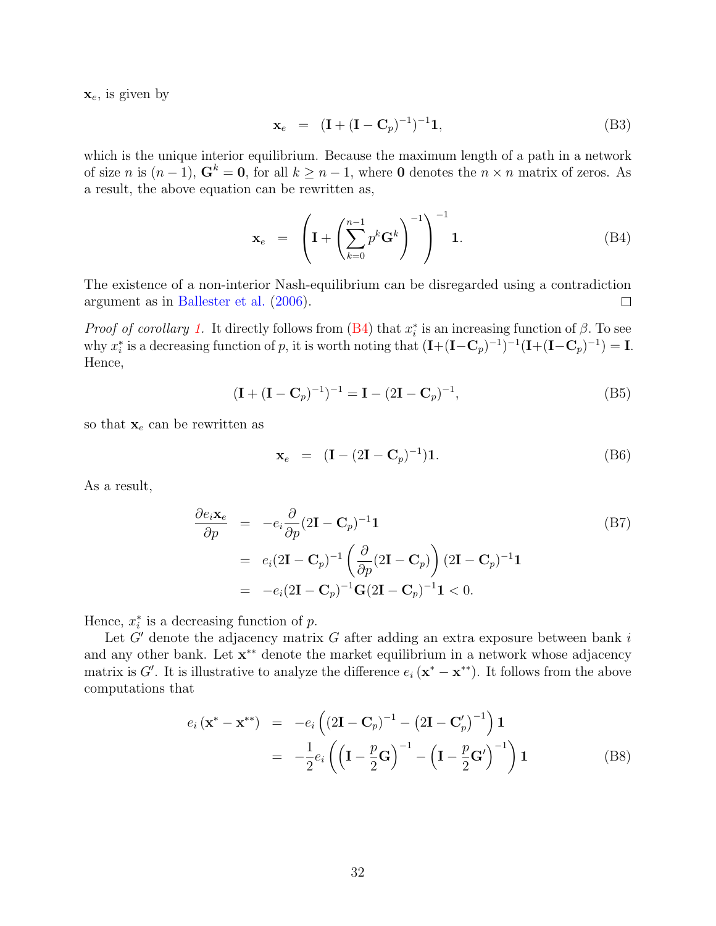$\mathbf{x}_e$ , is given by

$$
\mathbf{x}_e = (\mathbf{I} + (\mathbf{I} - \mathbf{C}_p)^{-1})^{-1} \mathbf{1},\tag{B3}
$$

which is the unique interior equilibrium. Because the maximum length of a path in a network of size n is  $(n-1)$ ,  $G^k = 0$ , for all  $k \geq n-1$ , where 0 denotes the  $n \times n$  matrix of zeros. As a result, the above equation can be rewritten as,

<span id="page-31-0"></span>
$$
\mathbf{x}_e = \left( \mathbf{I} + \left( \sum_{k=0}^{n-1} p^k \mathbf{G}^k \right)^{-1} \right)^{-1} \mathbf{1}.
$$
 (B4)

The existence of a non-interior Nash-equilibrium can be disregarded using a contradiction argument as in [Ballester et al.](#page-37-15) [\(2006\)](#page-37-15).  $\Box$ 

*Proof of corollary 1*. It directly follows from  $(B4)$  that  $x_i^*$  is an increasing function of  $\beta$ . To see why  $x_i^*$  is a decreasing function of p, it is worth noting that  $(I+(I-C_p)^{-1})^{-1}(I+(I-C_p)^{-1}) = I$ . Hence,

$$
(\mathbf{I} + (\mathbf{I} - \mathbf{C}_p)^{-1})^{-1} = \mathbf{I} - (2\mathbf{I} - \mathbf{C}_p)^{-1},
$$
\n(B5)

so that  $\mathbf{x}_e$  can be rewritten as

$$
\mathbf{x}_e = (\mathbf{I} - (2\mathbf{I} - \mathbf{C}_p)^{-1})\mathbf{1}.
$$
 (B6)

As a result,

$$
\frac{\partial e_i \mathbf{x}_e}{\partial p} = -e_i \frac{\partial}{\partial p} (2\mathbf{I} - \mathbf{C}_p)^{-1} \mathbf{1}
$$
\n
$$
= e_i (2\mathbf{I} - \mathbf{C}_p)^{-1} \left( \frac{\partial}{\partial p} (2\mathbf{I} - \mathbf{C}_p) \right) (2\mathbf{I} - \mathbf{C}_p)^{-1} \mathbf{1}
$$
\n
$$
= -e_i (2\mathbf{I} - \mathbf{C}_p)^{-1} \mathbf{G} (2\mathbf{I} - \mathbf{C}_p)^{-1} \mathbf{1} < 0.
$$
\n(B7)

Hence,  $x_i^*$  is a decreasing function of  $p$ .

Let  $G'$  denote the adjacency matrix  $G$  after adding an extra exposure between bank  $i$ and any other bank. Let  $x^{**}$  denote the market equilibrium in a network whose adjacency matrix is G'. It is illustrative to analyze the difference  $e_i (\mathbf{x}^* - \mathbf{x}^{**})$ . It follows from the above computations that

$$
e_i(\mathbf{x}^* - \mathbf{x}^{**}) = -e_i((2\mathbf{I} - \mathbf{C}_p)^{-1} - (2\mathbf{I} - \mathbf{C}_p')^{-1})\mathbf{1}
$$
  
= 
$$
-\frac{1}{2}e_i((\mathbf{I} - \frac{p}{2}\mathbf{G})^{-1} - (\mathbf{I} - \frac{p}{2}\mathbf{G}')^{-1})\mathbf{1}
$$
(B8)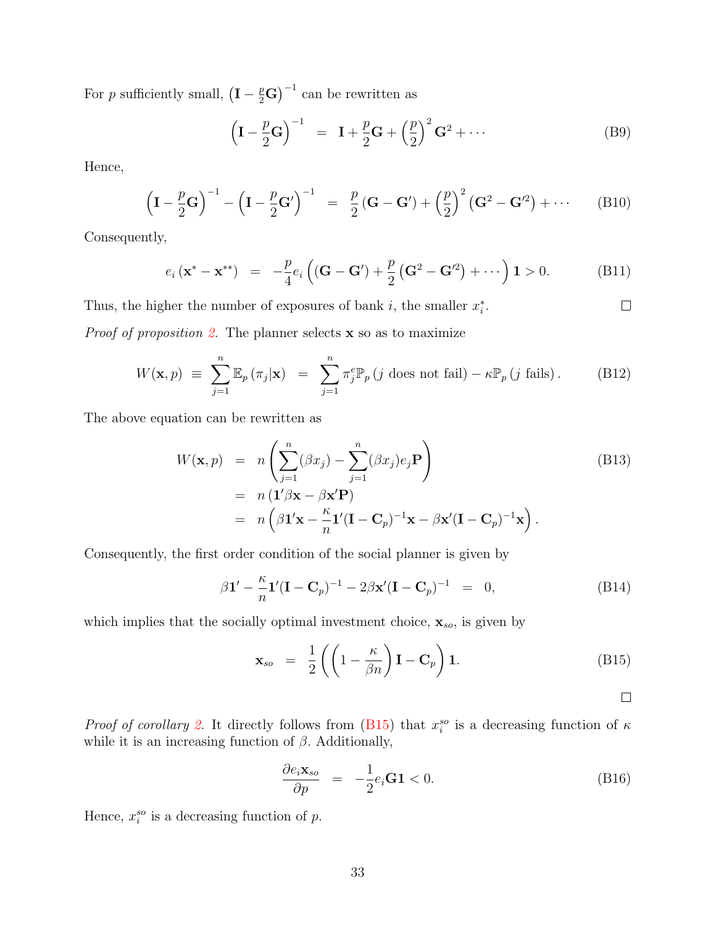For p sufficiently small,  $(I - \frac{p}{2}G)^{-1}$  can be rewritten as

$$
\left(\mathbf{I} - \frac{p}{2}\mathbf{G}\right)^{-1} = \mathbf{I} + \frac{p}{2}\mathbf{G} + \left(\frac{p}{2}\right)^2\mathbf{G}^2 + \cdots
$$
 (B9)

Hence,

$$
\left(\mathbf{I} - \frac{p}{2}\mathbf{G}\right)^{-1} - \left(\mathbf{I} - \frac{p}{2}\mathbf{G}'\right)^{-1} = \frac{p}{2}\left(\mathbf{G} - \mathbf{G}'\right) + \left(\frac{p}{2}\right)^2\left(\mathbf{G}^2 - \mathbf{G}'^2\right) + \cdots \tag{B10}
$$

Consequently,

$$
e_i(\mathbf{x}^* - \mathbf{x}^{**}) = -\frac{p}{4}e_i((\mathbf{G} - \mathbf{G}') + \frac{p}{2}(\mathbf{G}^2 - \mathbf{G}'^2) + \cdots) \mathbf{1} > 0.
$$
 (B11)

Thus, the higher the number of exposures of bank  $i$ , the smaller  $x_i^*$ .  $\Box$ 

*Proof of proposition [2.](#page-9-4)* The planner selects  $x$  so as to maximize

$$
W(\mathbf{x}, p) \equiv \sum_{j=1}^{n} \mathbb{E}_p(\pi_j|\mathbf{x}) = \sum_{j=1}^{n} \pi_j^e \mathbb{P}_p(j \text{ does not fail}) - \kappa \mathbb{P}_p(j \text{ fails}). \tag{B12}
$$

The above equation can be rewritten as

$$
W(\mathbf{x}, p) = n \left( \sum_{j=1}^{n} (\beta x_j) - \sum_{j=1}^{n} (\beta x_j) e_j \mathbf{P} \right)
$$
  
=  $n (\mathbf{1}' \beta \mathbf{x} - \beta \mathbf{x}' \mathbf{P})$   
=  $n (\beta \mathbf{1}' \mathbf{x} - \frac{\kappa}{n} \mathbf{1}' (\mathbf{I} - \mathbf{C}_p)^{-1} \mathbf{x} - \beta \mathbf{x}' (\mathbf{I} - \mathbf{C}_p)^{-1} \mathbf{x}).$  (B13)

Consequently, the first order condition of the social planner is given by

$$
\beta \mathbf{1}' - \frac{\kappa}{n} \mathbf{1}' (\mathbf{I} - \mathbf{C}_p)^{-1} - 2\beta \mathbf{x}' (\mathbf{I} - \mathbf{C}_p)^{-1} = 0, \tag{B14}
$$

which implies that the socially optimal investment choice,  $\mathbf{x}_{so}$ , is given by

<span id="page-32-0"></span>
$$
\mathbf{x}_{so} = \frac{1}{2} \left( \left( 1 - \frac{\kappa}{\beta n} \right) \mathbf{I} - \mathbf{C}_p \right) \mathbf{1}.
$$
 (B15)

 $\Box$ 

*Proof of corollary [2.](#page-9-5)* It directly follows from [\(B15\)](#page-32-0) that  $x_i^{so}$  is a decreasing function of  $\kappa$ while it is an increasing function of  $\beta$ . Additionally,

$$
\frac{\partial e_i \mathbf{x}_{so}}{\partial p} = -\frac{1}{2} e_i \mathbf{G} \mathbf{1} < 0. \tag{B16}
$$

Hence,  $x_i^{so}$  is a decreasing function of  $p$ .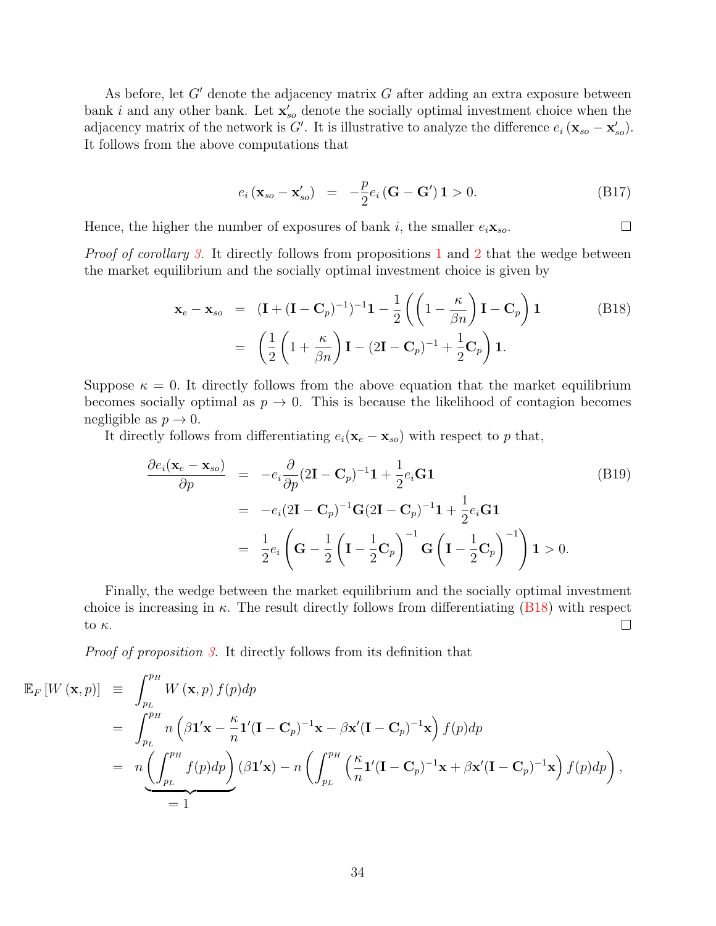As before, let  $G'$  denote the adjacency matrix  $G$  after adding an extra exposure between bank i and any other bank. Let  $\mathbf{x}'_{so}$  denote the socially optimal investment choice when the adjacency matrix of the network is G'. It is illustrative to analyze the difference  $e_i (\mathbf{x}_{so} - \mathbf{x}'_{so})$ . It follows from the above computations that

$$
e_i\left(\mathbf{x}_{so} - \mathbf{x}'_{so}\right) = -\frac{p}{2}e_i\left(\mathbf{G} - \mathbf{G}'\right)\mathbf{1} > 0. \tag{B17}
$$

Hence, the higher the number of exposures of bank i, the smaller  $e_i \mathbf{x}_{so}$ .  $\Box$ 

*Proof of corollary [3.](#page-10-1)* It directly follows from propositions [1](#page-8-3) and [2](#page-9-4) that the wedge between the market equilibrium and the socially optimal investment choice is given by

<span id="page-33-0"></span>
$$
\mathbf{x}_e - \mathbf{x}_{so} = (\mathbf{I} + (\mathbf{I} - \mathbf{C}_p)^{-1})^{-1} \mathbf{1} - \frac{1}{2} \left( \left( 1 - \frac{\kappa}{\beta n} \right) \mathbf{I} - \mathbf{C}_p \right) \mathbf{1}
$$
(B18)  

$$
= \left( \frac{1}{2} \left( 1 + \frac{\kappa}{\beta n} \right) \mathbf{I} - (2\mathbf{I} - \mathbf{C}_p)^{-1} + \frac{1}{2} \mathbf{C}_p \right) \mathbf{1}.
$$

Suppose  $\kappa = 0$ . It directly follows from the above equation that the market equilibrium becomes socially optimal as  $p \to 0$ . This is because the likelihood of contagion becomes negligible as  $p \to 0$ .

It directly follows from differentiating  $e_i(\mathbf{x}_e - \mathbf{x}_{so})$  with respect to p that,

$$
\frac{\partial e_i(\mathbf{x}_e - \mathbf{x}_{so})}{\partial p} = -e_i \frac{\partial}{\partial p} (2\mathbf{I} - \mathbf{C}_p)^{-1} \mathbf{1} + \frac{1}{2} e_i \mathbf{G} \mathbf{1}
$$
\n
$$
= -e_i (2\mathbf{I} - \mathbf{C}_p)^{-1} \mathbf{G} (2\mathbf{I} - \mathbf{C}_p)^{-1} \mathbf{1} + \frac{1}{2} e_i \mathbf{G} \mathbf{1}
$$
\n
$$
= \frac{1}{2} e_i \left( \mathbf{G} - \frac{1}{2} \left( \mathbf{I} - \frac{1}{2} \mathbf{C}_p \right)^{-1} \mathbf{G} \left( \mathbf{I} - \frac{1}{2} \mathbf{C}_p \right)^{-1} \right) \mathbf{1} > 0.
$$
\n(B19)

Finally, the wedge between the market equilibrium and the socially optimal investment choice is increasing in  $\kappa$ . The result directly follows from differentiating [\(B18\)](#page-33-0) with respect to κ.  $\Box$ 

Proof of proposition [3.](#page-11-3) It directly follows from its definition that

$$
\mathbb{E}_{F}\left[W\left(\mathbf{x},p\right)\right] = \int_{p_{L}}^{p_{H}} W\left(\mathbf{x},p\right) f(p) dp
$$
  
\n
$$
= \int_{p_{L}}^{p_{H}} n\left(\beta \mathbf{1}^{\prime} \mathbf{x} - \frac{\kappa}{n} \mathbf{1}^{\prime} (\mathbf{I} - \mathbf{C}_{p})^{-1} \mathbf{x} - \beta \mathbf{x}^{\prime} (\mathbf{I} - \mathbf{C}_{p})^{-1} \mathbf{x}\right) f(p) dp
$$
  
\n
$$
= n \underbrace{\left(\int_{p_{L}}^{p_{H}} f(p) dp\right)}_{= 1} (\beta \mathbf{1}^{\prime} \mathbf{x}) - n \left(\int_{p_{L}}^{p_{H}} \left(\frac{\kappa}{n} \mathbf{1}^{\prime} (\mathbf{I} - \mathbf{C}_{p})^{-1} \mathbf{x} + \beta \mathbf{x}^{\prime} (\mathbf{I} - \mathbf{C}_{p})^{-1} \mathbf{x}\right) f(p) dp\right),
$$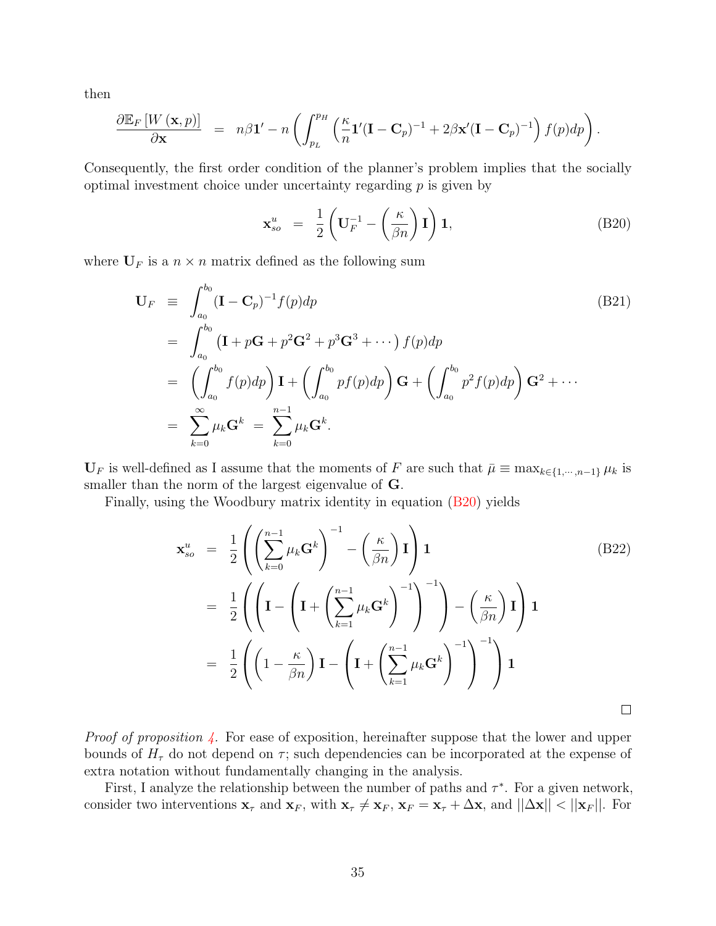then

$$
\frac{\partial \mathbb{E}_{F}\left[W\left(\mathbf{x},p\right)\right]}{\partial \mathbf{x}} = n\beta \mathbf{1}' - n\left(\int_{p_{L}}^{p_{H}}\left(\frac{\kappa}{n}\mathbf{1}'(\mathbf{I}-\mathbf{C}_{p})^{-1} + 2\beta \mathbf{x}'(\mathbf{I}-\mathbf{C}_{p})^{-1}\right)f(p)dp\right).
$$

Consequently, the first order condition of the planner's problem implies that the socially optimal investment choice under uncertainty regarding  $p$  is given by

<span id="page-34-0"></span>
$$
\mathbf{x}_{so}^u = \frac{1}{2} \left( \mathbf{U}_F^{-1} - \left( \frac{\kappa}{\beta n} \right) \mathbf{I} \right) \mathbf{1},\tag{B20}
$$

where  $U_F$  is a  $n \times n$  matrix defined as the following sum

$$
\mathbf{U}_F \equiv \int_{a_0}^{b_0} (\mathbf{I} - \mathbf{C}_p)^{-1} f(p) dp
$$
\n
$$
= \int_{a_0}^{b_0} (\mathbf{I} + p\mathbf{G} + p^2 \mathbf{G}^2 + p^3 \mathbf{G}^3 + \cdots) f(p) dp
$$
\n
$$
= \left( \int_{a_0}^{b_0} f(p) dp \right) \mathbf{I} + \left( \int_{a_0}^{b_0} pf(p) dp \right) \mathbf{G} + \left( \int_{a_0}^{b_0} p^2 f(p) dp \right) \mathbf{G}^2 + \cdots
$$
\n
$$
= \sum_{k=0}^{\infty} \mu_k \mathbf{G}^k = \sum_{k=0}^{n-1} \mu_k \mathbf{G}^k.
$$
\n(B21)

 $U_F$  is well-defined as I assume that the moments of F are such that  $\bar{\mu} \equiv \max_{k \in \{1,\dots,n-1\}} \mu_k$  is smaller than the norm of the largest eigenvalue of G.

Finally, using the Woodbury matrix identity in equation [\(B20\)](#page-34-0) yields

$$
\mathbf{x}_{so}^{u} = \frac{1}{2} \left( \left( \sum_{k=0}^{n-1} \mu_k \mathbf{G}^k \right)^{-1} - \left( \frac{\kappa}{\beta n} \right) \mathbf{I} \right) \mathbf{1}
$$
\n
$$
= \frac{1}{2} \left( \left( \mathbf{I} - \left( \mathbf{I} + \left( \sum_{k=1}^{n-1} \mu_k \mathbf{G}^k \right)^{-1} \right)^{-1} \right) - \left( \frac{\kappa}{\beta n} \right) \mathbf{I} \right) \mathbf{1}
$$
\n
$$
= \frac{1}{2} \left( \left( 1 - \frac{\kappa}{\beta n} \right) \mathbf{I} - \left( \mathbf{I} + \left( \sum_{k=1}^{n-1} \mu_k \mathbf{G}^k \right)^{-1} \right)^{-1} \right) \mathbf{1}
$$
\n
$$
\Box
$$

*Proof of proposition*  $\angle$ . For ease of exposition, hereinafter suppose that the lower and upper bounds of  $H<sub>\tau</sub>$  do not depend on  $\tau$ ; such dependencies can be incorporated at the expense of extra notation without fundamentally changing in the analysis.

First, I analyze the relationship between the number of paths and  $\tau^*$ . For a given network, consider two interventions  $\mathbf{x}_{\tau}$  and  $\mathbf{x}_{F}$ , with  $\mathbf{x}_{\tau} \neq \mathbf{x}_{F}$ ,  $\mathbf{x}_{F} = \mathbf{x}_{\tau} + \Delta \mathbf{x}$ , and  $||\Delta \mathbf{x}|| < ||\mathbf{x}_{F}||$ . For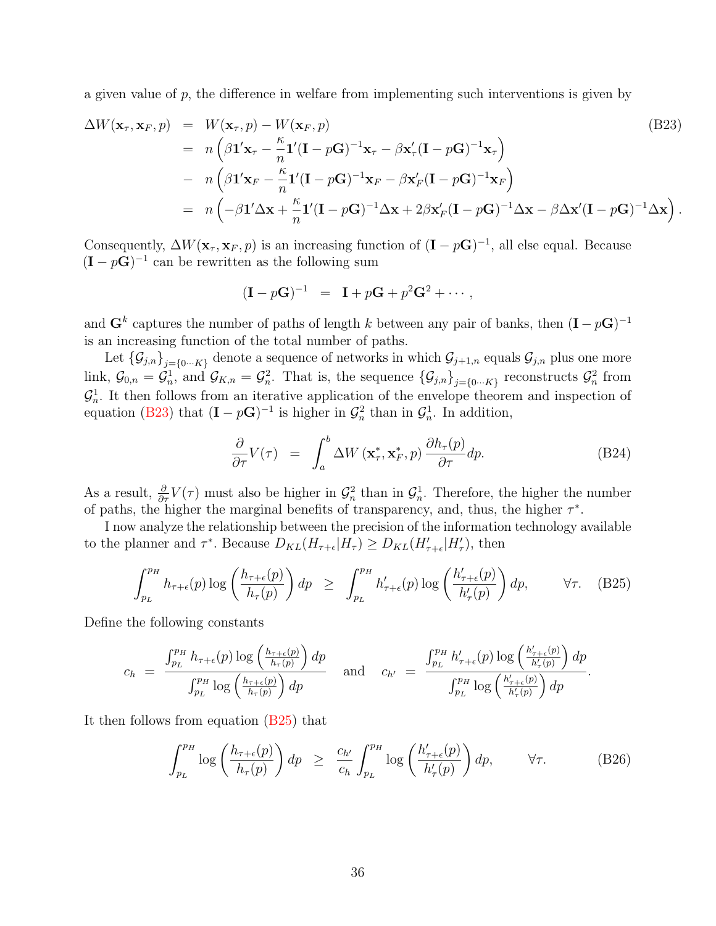a given value of  $p$ , the difference in welfare from implementing such interventions is given by

<span id="page-35-0"></span>
$$
\Delta W(\mathbf{x}_{\tau}, \mathbf{x}_{F}, p) = W(\mathbf{x}_{\tau}, p) - W(\mathbf{x}_{F}, p)
$$
\n
$$
= n \left( \beta \mathbf{1}' \mathbf{x}_{\tau} - \frac{\kappa}{n} \mathbf{1}' (\mathbf{I} - p\mathbf{G})^{-1} \mathbf{x}_{\tau} - \beta \mathbf{x}'_{\tau} (\mathbf{I} - p\mathbf{G})^{-1} \mathbf{x}_{\tau} \right)
$$
\n
$$
- n \left( \beta \mathbf{1}' \mathbf{x}_{F} - \frac{\kappa}{n} \mathbf{1}' (\mathbf{I} - p\mathbf{G})^{-1} \mathbf{x}_{F} - \beta \mathbf{x}'_{F} (\mathbf{I} - p\mathbf{G})^{-1} \mathbf{x}_{F} \right)
$$
\n
$$
= n \left( -\beta \mathbf{1}' \Delta \mathbf{x} + \frac{\kappa}{n} \mathbf{1}' (\mathbf{I} - p\mathbf{G})^{-1} \Delta \mathbf{x} + 2\beta \mathbf{x}'_{F} (\mathbf{I} - p\mathbf{G})^{-1} \Delta \mathbf{x} - \beta \Delta \mathbf{x}' (\mathbf{I} - p\mathbf{G})^{-1} \Delta \mathbf{x} \right).
$$
\n(B23)

Consequently,  $\Delta W(\mathbf{x}_{\tau},\mathbf{x}_F,p)$  is an increasing function of  $(\mathbf{I} - p\mathbf{G})^{-1}$ , all else equal. Because  $(I - pG)^{-1}$  can be rewritten as the following sum

$$
(I - pG)^{-1} = I + pG + p^2G^2 + \cdots,
$$

and  $\mathbf{G}^k$  captures the number of paths of length k between any pair of banks, then  $(\mathbf{I} - p\mathbf{G})^{-1}$ is an increasing function of the total number of paths.

Let  $\{\mathcal{G}_{j,n}\}_{j=\{0...K\}}$  denote a sequence of networks in which  $\mathcal{G}_{j+1,n}$  equals  $\mathcal{G}_{j,n}$  plus one more link,  $\mathcal{G}_{0,n} = \mathcal{G}_n^1$ , and  $\mathcal{G}_{K,n} = \mathcal{G}_n^2$ . That is, the sequence  $\{\mathcal{G}_{j,n}\}_{j=\{0\cdots K\}}$  reconstructs  $\mathcal{G}_n^2$  from  $\mathcal{G}_n^1$ . It then follows from an iterative application of the envelope theorem and inspection of equation [\(B23\)](#page-35-0) that  $(I - pG)^{-1}$  is higher in  $\mathcal{G}_n^2$  than in  $\mathcal{G}_n^1$ . In addition,

$$
\frac{\partial}{\partial \tau} V(\tau) = \int_{a}^{b} \Delta W \left( \mathbf{x}_{\tau}^{*}, \mathbf{x}_{F}^{*}, p \right) \frac{\partial h_{\tau}(p)}{\partial \tau} dp. \tag{B24}
$$

As a result,  $\frac{\partial}{\partial \tau}V(\tau)$  must also be higher in  $\mathcal{G}_n^2$  than in  $\mathcal{G}_n^1$ . Therefore, the higher the number of paths, the higher the marginal benefits of transparency, and, thus, the higher  $\tau^*$ .

I now analyze the relationship between the precision of the information technology available to the planner and  $\tau^*$ . Because  $D_{KL}(H_{\tau+\epsilon}|H_{\tau}) \ge D_{KL}(H'_{\tau+\epsilon}|H'_{\tau})$ , then

<span id="page-35-1"></span>
$$
\int_{p_L}^{p_H} h_{\tau+\epsilon}(p) \log\left(\frac{h_{\tau+\epsilon}(p)}{h_{\tau}(p)}\right) dp \ge \int_{p_L}^{p_H} h'_{\tau+\epsilon}(p) \log\left(\frac{h'_{\tau+\epsilon}(p)}{h'_{\tau}(p)}\right) dp, \qquad \forall \tau. \quad (B25)
$$

Define the following constants

$$
c_h = \frac{\int_{p_L}^{p_H} h_{\tau+\epsilon}(p) \log\left(\frac{h_{\tau+\epsilon}(p)}{h_{\tau}(p)}\right) dp}{\int_{p_L}^{p_H} \log\left(\frac{h_{\tau+\epsilon}(p)}{h_{\tau}(p)}\right) dp} \quad \text{and} \quad c_{h'} = \frac{\int_{p_L}^{p_H} h'_{\tau+\epsilon}(p) \log\left(\frac{h'_{\tau+\epsilon}(p)}{h'_{\tau}(p)}\right) dp}{\int_{p_L}^{p_H} \log\left(\frac{h'_{\tau+\epsilon}(p)}{h'_{\tau}(p)}\right) dp}.
$$

It then follows from equation [\(B25\)](#page-35-1) that

<span id="page-35-2"></span>
$$
\int_{p_L}^{p_H} \log \left( \frac{h_{\tau + \epsilon}(p)}{h_{\tau}(p)} \right) dp \geq \frac{c_{h'}}{c_h} \int_{p_L}^{p_H} \log \left( \frac{h'_{\tau + \epsilon}(p)}{h'_{\tau}(p)} \right) dp, \qquad \forall \tau.
$$
 (B26)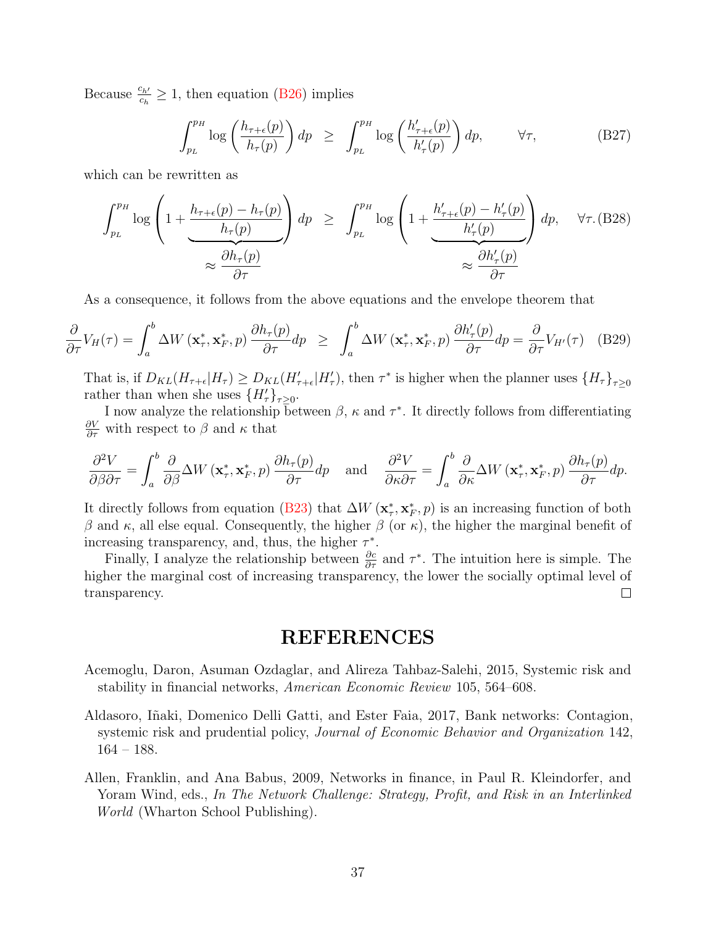Because  $\frac{c_{h'}}{c_h} \ge 1$ , then equation [\(B26\)](#page-35-2) implies

$$
\int_{p_L}^{p_H} \log \left( \frac{h_{\tau + \epsilon}(p)}{h_{\tau}(p)} \right) dp \ge \int_{p_L}^{p_H} \log \left( \frac{h'_{\tau + \epsilon}(p)}{h'_{\tau}(p)} \right) dp, \qquad \forall \tau,
$$
 (B27)

which can be rewritten as

$$
\int_{p_L}^{p_H} \log \left( 1 + \frac{h_{\tau + \epsilon}(p) - h_{\tau}(p)}{h_{\tau}(p)} \right) dp \ge \int_{p_L}^{p_H} \log \left( 1 + \frac{h'_{\tau + \epsilon}(p) - h'_{\tau}(p)}{h'_{\tau}(p)} \right) dp, \quad \forall \tau. \text{ (B28)}
$$

$$
\approx \frac{\partial h_{\tau}(p)}{\partial \tau}
$$

As a consequence, it follows from the above equations and the envelope theorem that

$$
\frac{\partial}{\partial \tau} V_H(\tau) = \int_a^b \Delta W\left(\mathbf{x}_\tau^*, \mathbf{x}_F^*, p\right) \frac{\partial h_\tau(p)}{\partial \tau} dp \ge \int_a^b \Delta W\left(\mathbf{x}_\tau^*, \mathbf{x}_F^*, p\right) \frac{\partial h_\tau'(p)}{\partial \tau} dp = \frac{\partial}{\partial \tau} V_{H'}(\tau) \quad (B29)
$$

That is, if  $D_{KL}(H_{\tau+\epsilon}|H_{\tau}) \geq D_{KL}(H_{\tau+\epsilon}'|H_{\tau}')$ , then  $\tau^*$  is higher when the planner uses  $\{H_{\tau}\}_{\tau\geq 0}$ rather than when she uses  $\{H'_{\tau}\}_{\tau \geq 0}$ .

I now analyze the relationship between  $\beta$ ,  $\kappa$  and  $\tau^*$ . It directly follows from differentiating  $\frac{\partial V}{\partial \tau}$  with respect to  $\beta$  and  $\kappa$  that

$$
\frac{\partial^2 V}{\partial \beta \partial \tau} = \int_a^b \frac{\partial}{\partial \beta} \Delta W \left( \mathbf{x}_\tau^*, \mathbf{x}_F^*, p \right) \frac{\partial h_\tau(p)}{\partial \tau} dp \quad \text{and} \quad \frac{\partial^2 V}{\partial \kappa \partial \tau} = \int_a^b \frac{\partial}{\partial \kappa} \Delta W \left( \mathbf{x}_\tau^*, \mathbf{x}_F^*, p \right) \frac{\partial h_\tau(p)}{\partial \tau} dp.
$$

It directly follows from equation [\(B23\)](#page-35-0) that  $\Delta W$  ( $\mathbf{x}_{\tau}^{*}$ ,  $\mathbf{x}_{F}^{*}$ ,  $p$ ) is an increasing function of both β and κ, all else equal. Consequently, the higher β (or κ), the higher the marginal benefit of increasing transparency, and, thus, the higher  $\tau^*$ .

Finally, I analyze the relationship between  $\frac{\partial c}{\partial \tau}$  and  $\tau^*$ . The intuition here is simple. The higher the marginal cost of increasing transparency, the lower the socially optimal level of  $\Box$ transparency.

# REFERENCES

- <span id="page-36-1"></span>Acemoglu, Daron, Asuman Ozdaglar, and Alireza Tahbaz-Salehi, 2015, Systemic risk and stability in financial networks, American Economic Review 105, 564–608.
- <span id="page-36-2"></span>Aldasoro, Iñaki, Domenico Delli Gatti, and Ester Faia, 2017, Bank networks: Contagion, systemic risk and prudential policy, Journal of Economic Behavior and Organization 142,  $164 - 188.$
- <span id="page-36-0"></span>Allen, Franklin, and Ana Babus, 2009, Networks in finance, in Paul R. Kleindorfer, and Yoram Wind, eds., In The Network Challenge: Strategy, Profit, and Risk in an Interlinked World (Wharton School Publishing).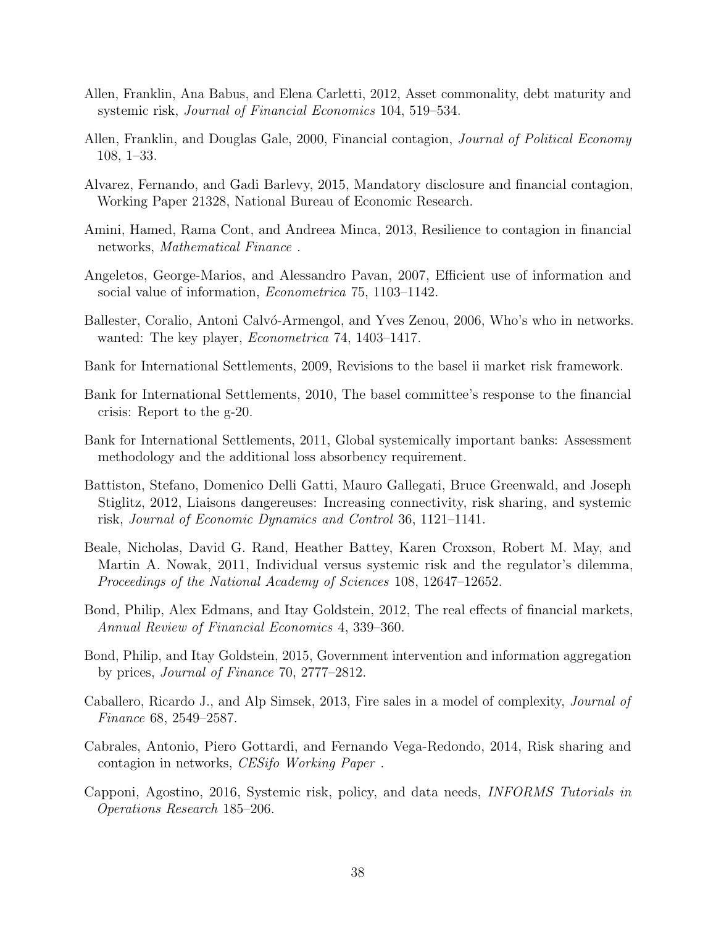- <span id="page-37-4"></span>Allen, Franklin, Ana Babus, and Elena Carletti, 2012, Asset commonality, debt maturity and systemic risk, Journal of Financial Economics 104, 519–534.
- <span id="page-37-3"></span>Allen, Franklin, and Douglas Gale, 2000, Financial contagion, *Journal of Political Economy* 108, 1–33.
- <span id="page-37-10"></span>Alvarez, Fernando, and Gadi Barlevy, 2015, Mandatory disclosure and financial contagion, Working Paper 21328, National Bureau of Economic Research.
- <span id="page-37-5"></span>Amini, Hamed, Rama Cont, and Andreea Minca, 2013, Resilience to contagion in financial networks, Mathematical Finance .
- <span id="page-37-12"></span>Angeletos, George-Marios, and Alessandro Pavan, 2007, Efficient use of information and social value of information, *Econometrica* 75, 1103–1142.
- <span id="page-37-15"></span>Ballester, Coralio, Antoni Calvó-Armengol, and Yves Zenou, 2006, Who's who in networks. wanted: The key player, *Econometrica* 74, 1403–1417.
- <span id="page-37-0"></span>Bank for International Settlements, 2009, Revisions to the basel ii market risk framework.
- <span id="page-37-1"></span>Bank for International Settlements, 2010, The basel committee's response to the financial crisis: Report to the g-20.
- <span id="page-37-2"></span>Bank for International Settlements, 2011, Global systemically important banks: Assessment methodology and the additional loss absorbency requirement.
- <span id="page-37-9"></span>Battiston, Stefano, Domenico Delli Gatti, Mauro Gallegati, Bruce Greenwald, and Joseph Stiglitz, 2012, Liaisons dangereuses: Increasing connectivity, risk sharing, and systemic risk, Journal of Economic Dynamics and Control 36, 1121–1141.
- <span id="page-37-8"></span>Beale, Nicholas, David G. Rand, Heather Battey, Karen Croxson, Robert M. May, and Martin A. Nowak, 2011, Individual versus systemic risk and the regulator's dilemma, Proceedings of the National Academy of Sciences 108, 12647–12652.
- <span id="page-37-14"></span>Bond, Philip, Alex Edmans, and Itay Goldstein, 2012, The real effects of financial markets, Annual Review of Financial Economics 4, 339–360.
- <span id="page-37-13"></span>Bond, Philip, and Itay Goldstein, 2015, Government intervention and information aggregation by prices, Journal of Finance 70, 2777–2812.
- <span id="page-37-11"></span>Caballero, Ricardo J., and Alp Simsek, 2013, Fire sales in a model of complexity, Journal of Finance 68, 2549–2587.
- <span id="page-37-6"></span>Cabrales, Antonio, Piero Gottardi, and Fernando Vega-Redondo, 2014, Risk sharing and contagion in networks, CESifo Working Paper .
- <span id="page-37-7"></span>Capponi, Agostino, 2016, Systemic risk, policy, and data needs, INFORMS Tutorials in Operations Research 185–206.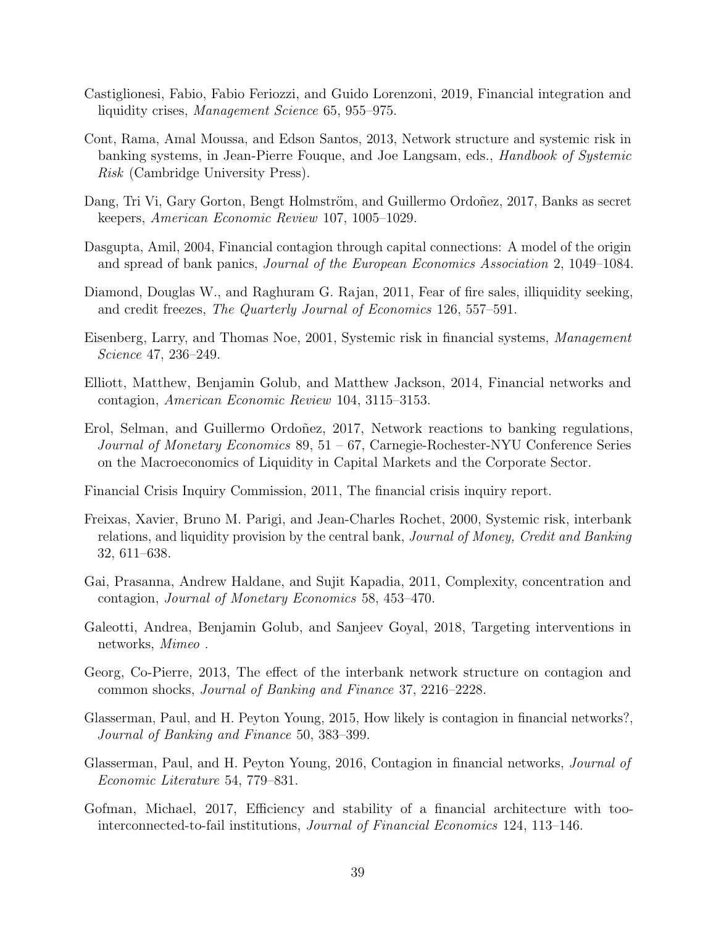- <span id="page-38-9"></span>Castiglionesi, Fabio, Fabio Feriozzi, and Guido Lorenzoni, 2019, Financial integration and liquidity crises, Management Science 65, 955–975.
- <span id="page-38-4"></span>Cont, Rama, Amal Moussa, and Edson Santos, 2013, Network structure and systemic risk in banking systems, in Jean-Pierre Fouque, and Joe Langsam, eds., *Handbook of Systemic* Risk (Cambridge University Press).
- <span id="page-38-15"></span>Dang, Tri Vi, Gary Gorton, Bengt Holmström, and Guillermo Ordoñez, 2017, Banks as secret keepers, American Economic Review 107, 1005–1029.
- <span id="page-38-3"></span>Dasgupta, Amil, 2004, Financial contagion through capital connections: A model of the origin and spread of bank panics, Journal of the European Economics Association 2, 1049–1084.
- <span id="page-38-14"></span>Diamond, Douglas W., and Raghuram G. Rajan, 2011, Fear of fire sales, illiquidity seeking, and credit freezes, The Quarterly Journal of Economics 126, 557–591.
- <span id="page-38-2"></span>Eisenberg, Larry, and Thomas Noe, 2001, Systemic risk in financial systems, Management Science 47, 236–249.
- <span id="page-38-6"></span>Elliott, Matthew, Benjamin Golub, and Matthew Jackson, 2014, Financial networks and contagion, American Economic Review 104, 3115–3153.
- <span id="page-38-11"></span>Erol, Selman, and Guillermo Ordoñez, 2017, Network reactions to banking regulations, Journal of Monetary Economics 89, 51 – 67, Carnegie-Rochester-NYU Conference Series on the Macroeconomics of Liquidity in Capital Markets and the Corporate Sector.
- <span id="page-38-0"></span>Financial Crisis Inquiry Commission, 2011, The financial crisis inquiry report.
- <span id="page-38-1"></span>Freixas, Xavier, Bruno M. Parigi, and Jean-Charles Rochet, 2000, Systemic risk, interbank relations, and liquidity provision by the central bank, Journal of Money, Credit and Banking 32, 611–638.
- <span id="page-38-10"></span>Gai, Prasanna, Andrew Haldane, and Sujit Kapadia, 2011, Complexity, concentration and contagion, Journal of Monetary Economics 58, 453–470.
- <span id="page-38-13"></span>Galeotti, Andrea, Benjamin Golub, and Sanjeev Goyal, 2018, Targeting interventions in networks, Mimeo .
- <span id="page-38-5"></span>Georg, Co-Pierre, 2013, The effect of the interbank network structure on contagion and common shocks, Journal of Banking and Finance 37, 2216–2228.
- <span id="page-38-7"></span>Glasserman, Paul, and H. Peyton Young, 2015, How likely is contagion in financial networks?, Journal of Banking and Finance 50, 383–399.
- <span id="page-38-8"></span>Glasserman, Paul, and H. Peyton Young, 2016, Contagion in financial networks, *Journal of* Economic Literature 54, 779–831.
- <span id="page-38-12"></span>Gofman, Michael, 2017, Efficiency and stability of a financial architecture with toointerconnected-to-fail institutions, Journal of Financial Economics 124, 113–146.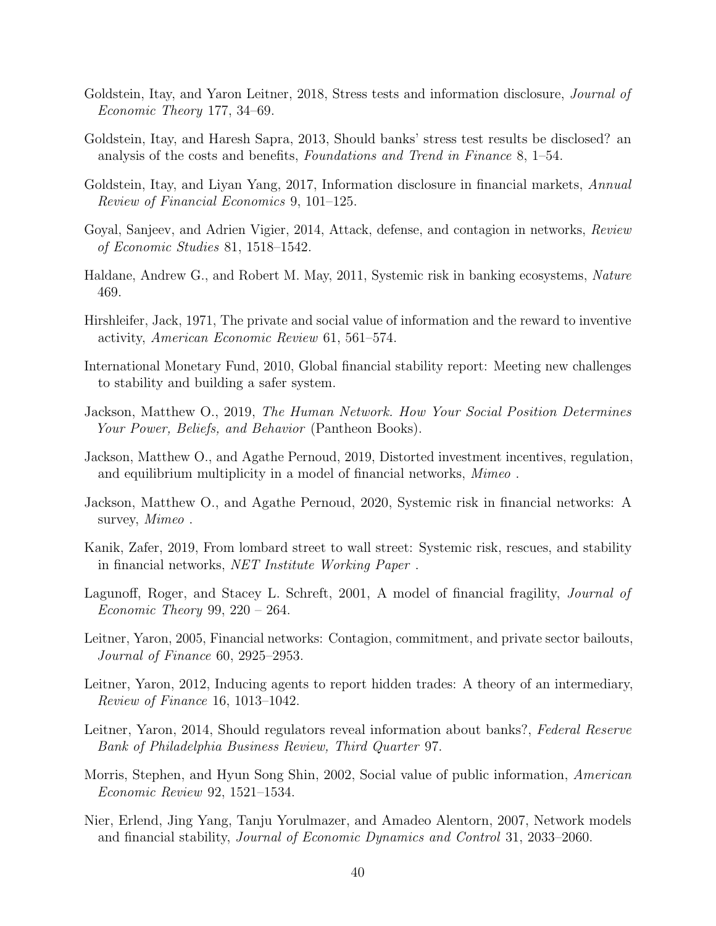- <span id="page-39-16"></span>Goldstein, Itay, and Yaron Leitner, 2018, Stress tests and information disclosure, *Journal of* Economic Theory 177, 34–69.
- <span id="page-39-11"></span>Goldstein, Itay, and Haresh Sapra, 2013, Should banks' stress test results be disclosed? an analysis of the costs and benefits, Foundations and Trend in Finance 8, 1–54.
- <span id="page-39-13"></span>Goldstein, Itay, and Liyan Yang, 2017, Information disclosure in financial markets, Annual Review of Financial Economics 9, 101–125.
- <span id="page-39-7"></span>Goyal, Sanjeev, and Adrien Vigier, 2014, Attack, defense, and contagion in networks, Review of Economic Studies 81, 1518–1542.
- <span id="page-39-5"></span>Haldane, Andrew G., and Robert M. May, 2011, Systemic risk in banking ecosystems, Nature 469.
- <span id="page-39-10"></span>Hirshleifer, Jack, 1971, The private and social value of information and the reward to inventive activity, American Economic Review 61, 561–574.
- <span id="page-39-1"></span>International Monetary Fund, 2010, Global financial stability report: Meeting new challenges to stability and building a safer system.
- <span id="page-39-0"></span>Jackson, Matthew O., 2019, The Human Network. How Your Social Position Determines Your Power, Beliefs, and Behavior (Pantheon Books).
- <span id="page-39-8"></span>Jackson, Matthew O., and Agathe Pernoud, 2019, Distorted investment incentives, regulation, and equilibrium multiplicity in a model of financial networks, Mimeo.
- <span id="page-39-6"></span>Jackson, Matthew O., and Agathe Pernoud, 2020, Systemic risk in financial networks: A survey, Mimeo.
- <span id="page-39-9"></span>Kanik, Zafer, 2019, From lombard street to wall street: Systemic risk, rescues, and stability in financial networks, NET Institute Working Paper .
- <span id="page-39-2"></span>Lagunoff, Roger, and Stacey L. Schreft, 2001, A model of financial fragility, *Journal of* Economic Theory 99,  $220 - 264$ .
- <span id="page-39-3"></span>Leitner, Yaron, 2005, Financial networks: Contagion, commitment, and private sector bailouts, Journal of Finance 60, 2925–2953.
- <span id="page-39-14"></span>Leitner, Yaron, 2012, Inducing agents to report hidden trades: A theory of an intermediary, Review of Finance 16, 1013–1042.
- <span id="page-39-12"></span>Leitner, Yaron, 2014, Should regulators reveal information about banks?, Federal Reserve Bank of Philadelphia Business Review, Third Quarter 97.
- <span id="page-39-15"></span>Morris, Stephen, and Hyun Song Shin, 2002, Social value of public information, American Economic Review 92, 1521–1534.
- <span id="page-39-4"></span>Nier, Erlend, Jing Yang, Tanju Yorulmazer, and Amadeo Alentorn, 2007, Network models and financial stability, Journal of Economic Dynamics and Control 31, 2033–2060.